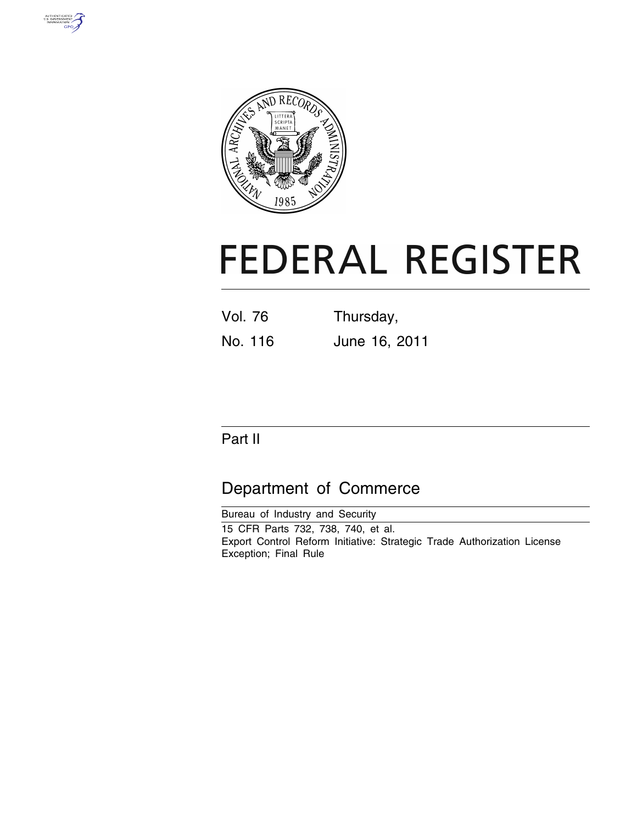



# **FEDERAL REGISTER**

| Vol. 76 | Thursday,     |  |  |  |
|---------|---------------|--|--|--|
| No. 116 | June 16, 2011 |  |  |  |

# Part II

# Department of Commerce

Bureau of Industry and Security 15 CFR Parts 732, 738, 740, et al. Export Control Reform Initiative: Strategic Trade Authorization License Exception; Final Rule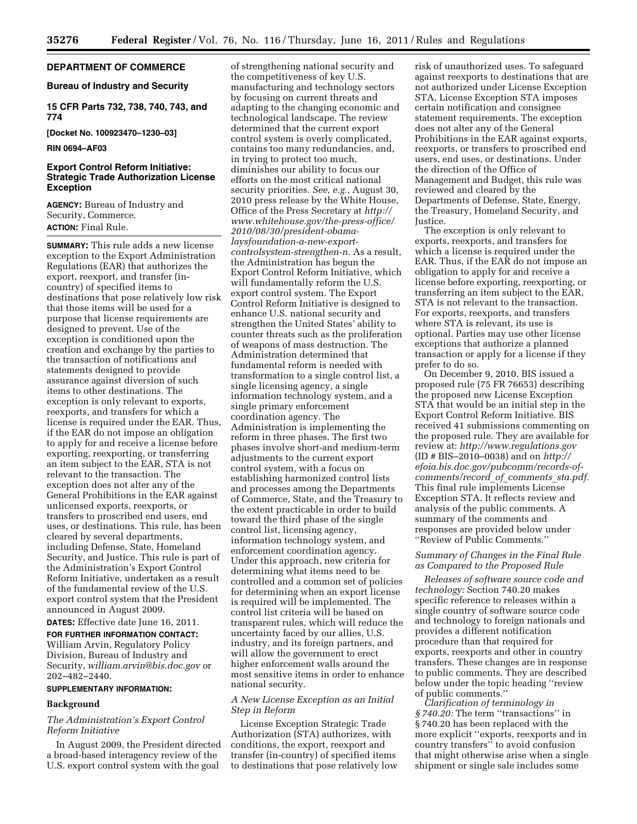# **DEPARTMENT OF COMMERCE**

# **Bureau of Industry and Security**

# **15 CFR Parts 732, 738, 740, 743, and 774**

**[Docket No. 100923470–1230–03]** 

#### **RIN 0694–AF03**

# **Export Control Reform Initiative: Strategic Trade Authorization License Exception**

**AGENCY:** Bureau of Industry and Security, Commerce. **ACTION:** Final Rule.

**SUMMARY:** This rule adds a new license exception to the Export Administration Regulations (EAR) that authorizes the export, reexport, and transfer (incountry) of specified items to destinations that pose relatively low risk that those items will be used for a purpose that license requirements are designed to prevent. Use of the exception is conditioned upon the creation and exchange by the parties to the transaction of notifications and statements designed to provide assurance against diversion of such items to other destinations. The exception is only relevant to exports, reexports, and transfers for which a license is required under the EAR. Thus, if the EAR do not impose an obligation to apply for and receive a license before exporting, reexporting, or transferring an item subject to the EAR, STA is not relevant to the transaction. The exception does not alter any of the General Prohibitions in the EAR against unlicensed exports, reexports, or transfers to proscribed end users, end uses, or destinations. This rule, has been cleared by several departments, including Defense, State, Homeland Security, and Justice. This rule is part of the Administration's Export Control Reform Initiative, undertaken as a result of the fundamental review of the U.S. export control system that the President announced in August 2009.

**DATES:** Effective date June 16, 2011.

**FOR FURTHER INFORMATION CONTACT:**  William Arvin, Regulatory Policy Division, Bureau of Industry and Security, *[william.arvin@bis.doc.gov](mailto:william.arvin@bis.doc.gov)* or 202–482–2440.

# **SUPPLEMENTARY INFORMATION:**

# **Background**

# *The Administration's Export Control Reform Initiative*

In August 2009, the President directed a broad-based interagency review of the U.S. export control system with the goal

of strengthening national security and the competitiveness of key U.S. manufacturing and technology sectors by focusing on current threats and adapting to the changing economic and technological landscape. The review determined that the current export control system is overly complicated, contains too many redundancies, and, in trying to protect too much, diminishes our ability to focus our efforts on the most critical national security priorities. *See, e.g.,* August 30, 2010 press release by the White House, Office of the Press Secretary at *http:// [www.whitehouse.gov/the-press-office/](http://www.whitehouse.gov/the-press-office/2010/08/30/president-obama-laysfoundation-a-new-export-controlsystem-strengthen-n)  2010/08/30/president-obamalaysfoundation-a-new-exportcontrolsystem-strengthen-n.* As a result, the Administration has begun the Export Control Reform Initiative, which will fundamentally reform the U.S. export control system. The Export Control Reform Initiative is designed to enhance U.S. national security and strengthen the United States' ability to counter threats such as the proliferation of weapons of mass destruction. The Administration determined that fundamental reform is needed with transformation to a single control list, a single licensing agency, a single information technology system, and a single primary enforcement coordination agency. The Administration is implementing the reform in three phases. The first two phases involve short-and medium-term adjustments to the current export control system, with a focus on establishing harmonized control lists and processes among the Departments of Commerce, State, and the Treasury to the extent practicable in order to build toward the third phase of the single control list, licensing agency, information technology system, and enforcement coordination agency. Under this approach, new criteria for determining what items need to be controlled and a common set of policies for determining when an export license is required will be implemented. The control list criteria will be based on transparent rules, which will reduce the uncertainty faced by our allies, U.S. industry, and its foreign partners, and will allow the government to erect higher enforcement walls around the most sensitive items in order to enhance national security.

# *A New License Exception as an Initial Step in Reform*

License Exception Strategic Trade Authorization (STA) authorizes, with conditions, the export, reexport and transfer (in-country) of specified items to destinations that pose relatively low risk of unauthorized uses. To safeguard against reexports to destinations that are not authorized under License Exception STA, License Exception STA imposes certain notification and consignee statement requirements. The exception does not alter any of the General Prohibitions in the EAR against exports, reexports, or transfers to proscribed end users, end uses, or destinations. Under the direction of the Office of Management and Budget, this rule was reviewed and cleared by the Departments of Defense, State, Energy, the Treasury, Homeland Security, and Justice.

The exception is only relevant to exports, reexports, and transfers for which a license is required under the EAR. Thus, if the EAR do not impose an obligation to apply for and receive a license before exporting, reexporting, or transferring an item subject to the EAR, STA is not relevant to the transaction. For exports, reexports, and transfers where STA is relevant, its use is optional. Parties may use other license exceptions that authorize a planned transaction or apply for a license if they prefer to do so.

On December 9, 2010, BIS issued a proposed rule (75 FR 76653) describing the proposed new License Exception STA that would be an initial step in the Export Control Reform Initiative. BIS received 41 submissions commenting on the proposed rule. They are available for review at: *<http://www.regulations.gov>*  (ID # BIS–2010–0038) and on *[http://](http://efoia.bis.doc.gov/pubcomm/records-of-comments/record_of_comments_sta.pdf)  [efoia.bis.doc.gov/pubcomm/records-of](http://efoia.bis.doc.gov/pubcomm/records-of-comments/record_of_comments_sta.pdf)[comments/record](http://efoia.bis.doc.gov/pubcomm/records-of-comments/record_of_comments_sta.pdf)*\_*of*\_*comments*\_*sta.pdf.*  This final rule implements License Exception STA. It reflects review and analysis of the public comments. A summary of the comments and responses are provided below under ''Review of Public Comments.''

# *Summary of Changes in the Final Rule as Compared to the Proposed Rule*

*Releases of software source code and technology:* Section 740.20 makes specific reference to releases within a single country of software source code and technology to foreign nationals and provides a different notification procedure than that required for exports, reexports and other in country transfers. These changes are in response to public comments. They are described below under the topic heading ''review of public comments.''

*Clarification of terminology in § 740.20:* The term ''transactions'' in § 740.20 has been replaced with the more explicit ''exports, reexports and in country transfers'' to avoid confusion that might otherwise arise when a single shipment or single sale includes some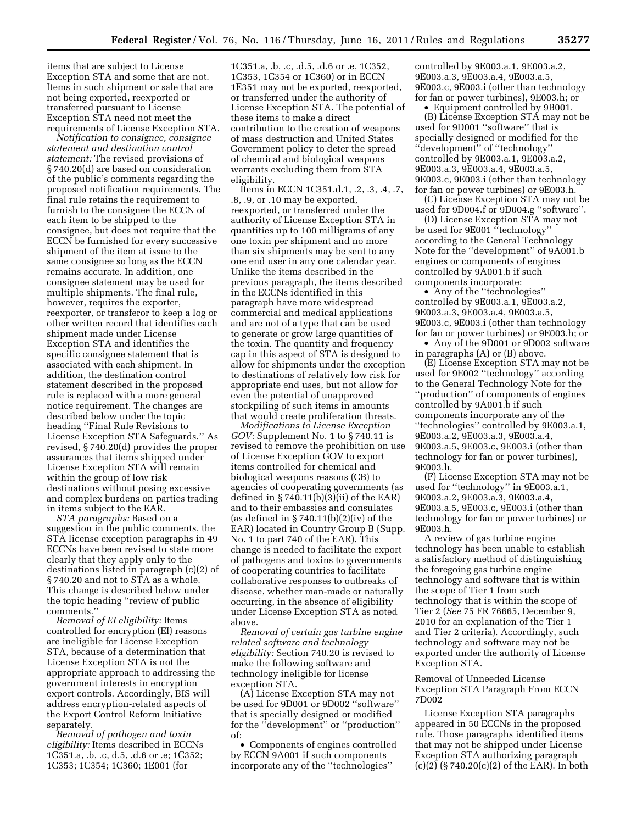items that are subject to License Exception STA and some that are not. Items in such shipment or sale that are not being exported, reexported or transferred pursuant to License Exception STA need not meet the requirements of License Exception STA.

*Notification to consignee, consignee statement and destination control statement:* The revised provisions of § 740.20(d) are based on consideration of the public's comments regarding the proposed notification requirements. The final rule retains the requirement to furnish to the consignee the ECCN of each item to be shipped to the consignee, but does not require that the ECCN be furnished for every successive shipment of the item at issue to the same consignee so long as the ECCN remains accurate. In addition, one consignee statement may be used for multiple shipments. The final rule, however, requires the exporter, reexporter, or transferor to keep a log or other written record that identifies each shipment made under License Exception STA and identifies the specific consignee statement that is associated with each shipment. In addition, the destination control statement described in the proposed rule is replaced with a more general notice requirement. The changes are described below under the topic heading ''Final Rule Revisions to License Exception STA Safeguards.'' As revised, § 740.20(d) provides the proper assurances that items shipped under License Exception STA will remain within the group of low risk destinations without posing excessive and complex burdens on parties trading in items subject to the EAR.

*STA paragraphs:* Based on a suggestion in the public comments, the STA license exception paragraphs in 49 ECCNs have been revised to state more clearly that they apply only to the destinations listed in paragraph (c)(2) of § 740.20 and not to STA as a whole. This change is described below under the topic heading ''review of public comments.''

*Removal of EI eligibility:* Items controlled for encryption (EI) reasons are ineligible for License Exception STA, because of a determination that License Exception STA is not the appropriate approach to addressing the government interests in encryption export controls. Accordingly, BIS will address encryption-related aspects of the Export Control Reform Initiative separately.

*Removal of pathogen and toxin eligibility:* Items described in ECCNs 1C351.a, .b, .c, d.5, .d.6 or .e; 1C352; 1C353; 1C354; 1C360; 1E001 (for

1C351.a, .b, .c, .d.5, .d.6 or .e, 1C352, 1C353, 1C354 or 1C360) or in ECCN 1E351 may not be exported, reexported, or transferred under the authority of License Exception STA. The potential of these items to make a direct contribution to the creation of weapons of mass destruction and United States Government policy to deter the spread of chemical and biological weapons warrants excluding them from STA eligibility.

Items in ECCN 1C351.d.1, .2, .3, .4, .7, .8, .9, or .10 may be exported, reexported, or transferred under the authority of License Exception STA in quantities up to 100 milligrams of any one toxin per shipment and no more than six shipments may be sent to any one end user in any one calendar year. Unlike the items described in the previous paragraph, the items described in the ECCNs identified in this paragraph have more widespread commercial and medical applications and are not of a type that can be used to generate or grow large quantities of the toxin. The quantity and frequency cap in this aspect of STA is designed to allow for shipments under the exception to destinations of relatively low risk for appropriate end uses, but not allow for even the potential of unapproved stockpiling of such items in amounts that would create proliferation threats.

*Modifications to License Exception GOV:* Supplement No. 1 to § 740.11 is revised to remove the prohibition on use of License Exception GOV to export items controlled for chemical and biological weapons reasons (CB) to agencies of cooperating governments (as defined in  $\S 740.11(b)(3)(ii)$  of the EAR) and to their embassies and consulates (as defined in  $\S 740.11(b)(2)(iv)$  of the EAR) located in Country Group B (Supp. No. 1 to part 740 of the EAR). This change is needed to facilitate the export of pathogens and toxins to governments of cooperating countries to facilitate collaborative responses to outbreaks of disease, whether man-made or naturally occurring, in the absence of eligibility under License Exception STA as noted above.

*Removal of certain gas turbine engine related software and technology eligibility:* Section 740.20 is revised to make the following software and technology ineligible for license exception STA.

(A) License Exception STA may not be used for 9D001 or 9D002 ''software'' that is specially designed or modified for the ''development'' or ''production'' of:

• Components of engines controlled by ECCN 9A001 if such components incorporate any of the ''technologies''

controlled by 9E003.a.1, 9E003.a.2, 9E003.a.3, 9E003.a.4, 9E003.a.5, 9E003.c, 9E003.i (other than technology for fan or power turbines), 9E003.h; or

• Equipment controlled by 9B001. (B) License Exception STA may not be used for 9D001 ''software'' that is specially designed or modified for the ''development'' of ''technology'' controlled by 9E003.a.1, 9E003.a.2, 9E003.a.3, 9E003.a.4, 9E003.a.5, 9E003.c, 9E003.i (other than technology for fan or power turbines) or 9E003.h.

(C) License Exception STA may not be used for 9D004.f or 9D004.g ''software''.

(D) License Exception STA may not be used for 9E001 ''technology'' according to the General Technology Note for the ''development'' of 9A001.b engines or components of engines controlled by 9A001.b if such components incorporate:

• Any of the ''technologies'' controlled by 9E003.a.1, 9E003.a.2, 9E003.a.3, 9E003.a.4, 9E003.a.5, 9E003.c, 9E003.i (other than technology for fan or power turbines) or 9E003.h; or

• Any of the 9D001 or 9D002 software in paragraphs (A) or (B) above.

(E) License Exception STA may not be used for 9E002 ''technology'' according to the General Technology Note for the ''production'' of components of engines controlled by 9A001.b if such components incorporate any of the ''technologies'' controlled by 9E003.a.1, 9E003.a.2, 9E003.a.3, 9E003.a.4, 9E003.a.5, 9E003.c, 9E003.i (other than technology for fan or power turbines), 9E003.h.

(F) License Exception STA may not be used for ''technology'' in 9E003.a.1, 9E003.a.2, 9E003.a.3, 9E003.a.4, 9E003.a.5, 9E003.c, 9E003.i (other than technology for fan or power turbines) or 9E003.h.

A review of gas turbine engine technology has been unable to establish a satisfactory method of distinguishing the foregoing gas turbine engine technology and software that is within the scope of Tier 1 from such technology that is within the scope of Tier 2 (*See* 75 FR 76665, December 9, 2010 for an explanation of the Tier 1 and Tier 2 criteria). Accordingly, such technology and software may not be exported under the authority of License Exception STA.

Removal of Unneeded License Exception STA Paragraph From ECCN 7D002

License Exception STA paragraphs appeared in 50 ECCNs in the proposed rule. Those paragraphs identified items that may not be shipped under License Exception STA authorizing paragraph (c)(2) (§ 740.20(c)(2) of the EAR). In both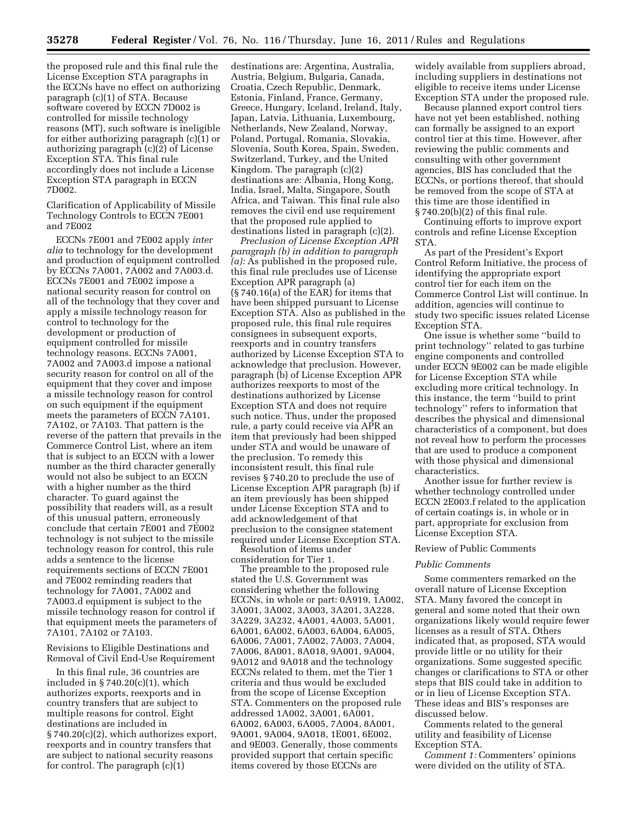the proposed rule and this final rule the License Exception STA paragraphs in the ECCNs have no effect on authorizing paragraph (c)(1) of STA. Because software covered by ECCN 7D002 is controlled for missile technology reasons (MT), such software is ineligible for either authorizing paragraph (c)(1) or authorizing paragraph (c)(2) of License Exception STA. This final rule accordingly does not include a License Exception STA paragraph in ECCN 7D002.

Clarification of Applicability of Missile Technology Controls to ECCN 7E001 and 7E002

ECCNs 7E001 and 7E002 apply *inter alia* to technology for the development and production of equipment controlled by ECCNs 7A001, 7A002 and 7A003.d. ECCNs 7E001 and 7E002 impose a national security reason for control on all of the technology that they cover and apply a missile technology reason for control to technology for the development or production of equipment controlled for missile technology reasons. ECCNs 7A001, 7A002 and 7A003.d impose a national security reason for control on all of the equipment that they cover and impose a missile technology reason for control on such equipment if the equipment meets the parameters of ECCN 7A101, 7A102, or 7A103. That pattern is the reverse of the pattern that prevails in the Commerce Control List, where an item that is subject to an ECCN with a lower number as the third character generally would not also be subject to an ECCN with a higher number as the third character. To guard against the possibility that readers will, as a result of this unusual pattern, erroneously conclude that certain 7E001 and 7E002 technology is not subject to the missile technology reason for control, this rule adds a sentence to the license requirements sections of ECCN 7E001 and 7E002 reminding readers that technology for 7A001, 7A002 and 7A003.d equipment is subject to the missile technology reason for control if that equipment meets the parameters of 7A101, 7A102 or 7A103.

Revisions to Eligible Destinations and Removal of Civil End-Use Requirement

In this final rule, 36 countries are included in § 740.20(c)(1), which authorizes exports, reexports and in country transfers that are subject to multiple reasons for control. Eight destinations are included in § 740.20(c)(2), which authorizes export, reexports and in country transfers that are subject to national security reasons for control. The paragraph (c)(1)

destinations are: Argentina, Australia, Austria, Belgium, Bulgaria, Canada, Croatia, Czech Republic, Denmark, Estonia, Finland, France, Germany, Greece, Hungary, Iceland, Ireland, Italy, Japan, Latvia, Lithuania, Luxembourg, Netherlands, New Zealand, Norway, Poland, Portugal, Romania, Slovakia, Slovenia, South Korea, Spain, Sweden, Switzerland, Turkey, and the United Kingdom. The paragraph (c)(2) destinations are: Albania, Hong Kong, India, Israel, Malta, Singapore, South Africa, and Taiwan. This final rule also removes the civil end use requirement that the proposed rule applied to destinations listed in paragraph (c)(2).

*Preclusion of License Exception APR paragraph (b) in addition to paragraph (a):* As published in the proposed rule, this final rule precludes use of License Exception APR paragraph (a) (§ 740.16(a) of the EAR) for items that have been shipped pursuant to License Exception STA. Also as published in the proposed rule, this final rule requires consignees in subsequent exports, reexports and in country transfers authorized by License Exception STA to acknowledge that preclusion. However, paragraph (b) of License Exception APR authorizes reexports to most of the destinations authorized by License Exception STA and does not require such notice. Thus, under the proposed rule, a party could receive via APR an item that previously had been shipped under STA and would be unaware of the preclusion. To remedy this inconsistent result, this final rule revises § 740.20 to preclude the use of License Exception APR paragraph (b) if an item previously has been shipped under License Exception STA and to add acknowledgement of that preclusion to the consignee statement required under License Exception STA.

Resolution of items under consideration for Tier 1.

The preamble to the proposed rule stated the U.S. Government was considering whether the following ECCNs, in whole or part: 0A919, 1A002, 3A001, 3A002, 3A003, 3A201, 3A228, 3A229, 3A232, 4A001, 4A003, 5A001, 6A001, 6A002, 6A003, 6A004, 6A005, 6A006, 7A001, 7A002, 7A003, 7A004, 7A006, 8A001, 8A018, 9A001, 9A004, 9A012 and 9A018 and the technology ECCNs related to them, met the Tier 1 criteria and thus would be excluded from the scope of License Exception STA. Commenters on the proposed rule addressed 1A002, 3A001, 6A001, 6A002, 6A003, 6A005, 7A004, 8A001, 9A001, 9A004, 9A018, 1E001, 6E002, and 9E003. Generally, those comments provided support that certain specific items covered by those ECCNs are

widely available from suppliers abroad, including suppliers in destinations not eligible to receive items under License Exception STA under the proposed rule.

Because planned export control tiers have not yet been established, nothing can formally be assigned to an export control tier at this time. However, after reviewing the public comments and consulting with other government agencies, BIS has concluded that the ECCNs, or portions thereof, that should be removed from the scope of STA at this time are those identified in § 740.20(b)(2) of this final rule.

Continuing efforts to improve export controls and refine License Exception STA.

As part of the President's Export Control Reform Initiative, the process of identifying the appropriate export control tier for each item on the Commerce Control List will continue. In addition, agencies will continue to study two specific issues related License Exception STA.

One issue is whether some ''build to print technology'' related to gas turbine engine components and controlled under ECCN 9E002 can be made eligible for License Exception STA while excluding more critical technology. In this instance, the term ''build to print technology'' refers to information that describes the physical and dimensional characteristics of a component, but does not reveal how to perform the processes that are used to produce a component with those physical and dimensional characteristics.

Another issue for further review is whether technology controlled under ECCN 2E003.f related to the application of certain coatings is, in whole or in part, appropriate for exclusion from License Exception STA.

# Review of Public Comments

# *Public Comments*

Some commenters remarked on the overall nature of License Exception STA. Many favored the concept in general and some noted that their own organizations likely would require fewer licenses as a result of STA. Others indicated that, as proposed, STA would provide little or no utility for their organizations. Some suggested specific changes or clarifications to STA or other steps that BIS could take in addition to or in lieu of License Exception STA. These ideas and BIS's responses are discussed below.

Comments related to the general utility and feasibility of License Exception STA.

*Comment 1:* Commenters' opinions were divided on the utility of STA.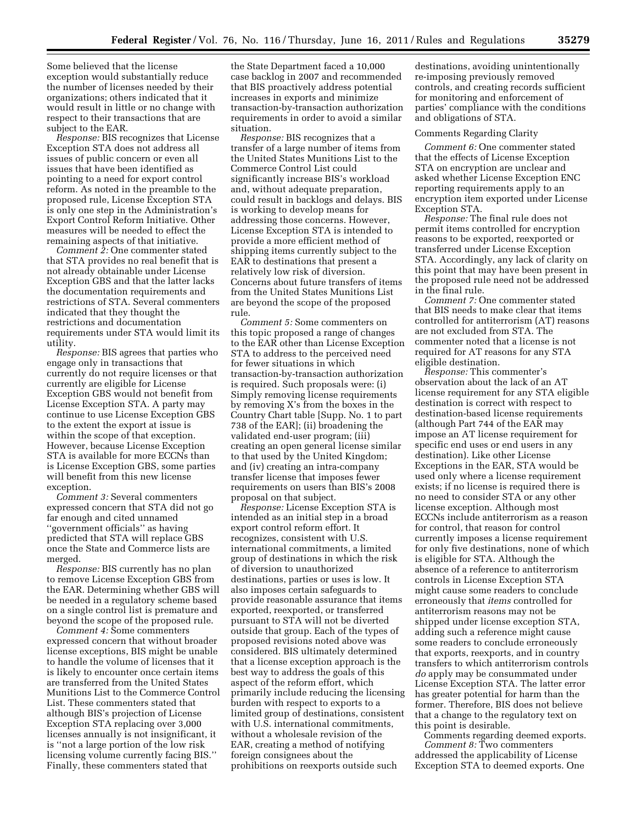Some believed that the license exception would substantially reduce the number of licenses needed by their organizations; others indicated that it would result in little or no change with respect to their transactions that are subject to the EAR.

*Response:* BIS recognizes that License Exception STA does not address all issues of public concern or even all issues that have been identified as pointing to a need for export control reform. As noted in the preamble to the proposed rule, License Exception STA is only one step in the Administration's Export Control Reform Initiative. Other measures will be needed to effect the remaining aspects of that initiative.

*Comment 2:* One commenter stated that STA provides no real benefit that is not already obtainable under License Exception GBS and that the latter lacks the documentation requirements and restrictions of STA. Several commenters indicated that they thought the restrictions and documentation requirements under STA would limit its utility.

*Response:* BIS agrees that parties who engage only in transactions that currently do not require licenses or that currently are eligible for License Exception GBS would not benefit from License Exception STA. A party may continue to use License Exception GBS to the extent the export at issue is within the scope of that exception. However, because License Exception STA is available for more ECCNs than is License Exception GBS, some parties will benefit from this new license exception.

*Comment 3:* Several commenters expressed concern that STA did not go far enough and cited unnamed ''government officials'' as having predicted that STA will replace GBS once the State and Commerce lists are merged.

*Response:* BIS currently has no plan to remove License Exception GBS from the EAR. Determining whether GBS will be needed in a regulatory scheme based on a single control list is premature and beyond the scope of the proposed rule.

*Comment 4:* Some commenters expressed concern that without broader license exceptions, BIS might be unable to handle the volume of licenses that it is likely to encounter once certain items are transferred from the United States Munitions List to the Commerce Control List. These commenters stated that although BIS's projection of License Exception STA replacing over 3,000 licenses annually is not insignificant, it is ''not a large portion of the low risk licensing volume currently facing BIS.'' Finally, these commenters stated that

the State Department faced a 10,000 case backlog in 2007 and recommended that BIS proactively address potential increases in exports and minimize transaction-by-transaction authorization requirements in order to avoid a similar situation.

*Response:* BIS recognizes that a transfer of a large number of items from the United States Munitions List to the Commerce Control List could significantly increase BIS's workload and, without adequate preparation, could result in backlogs and delays. BIS is working to develop means for addressing those concerns. However, License Exception STA is intended to provide a more efficient method of shipping items currently subject to the EAR to destinations that present a relatively low risk of diversion. Concerns about future transfers of items from the United States Munitions List are beyond the scope of the proposed rule.

*Comment 5:* Some commenters on this topic proposed a range of changes to the EAR other than License Exception STA to address to the perceived need for fewer situations in which transaction-by-transaction authorization is required. Such proposals were: (i) Simply removing license requirements by removing X's from the boxes in the Country Chart table [Supp. No. 1 to part 738 of the EAR]; (ii) broadening the validated end-user program; (iii) creating an open general license similar to that used by the United Kingdom; and (iv) creating an intra-company transfer license that imposes fewer requirements on users than BIS's 2008 proposal on that subject.

*Response:* License Exception STA is intended as an initial step in a broad export control reform effort. It recognizes, consistent with U.S. international commitments, a limited group of destinations in which the risk of diversion to unauthorized destinations, parties or uses is low. It also imposes certain safeguards to provide reasonable assurance that items exported, reexported, or transferred pursuant to STA will not be diverted outside that group. Each of the types of proposed revisions noted above was considered. BIS ultimately determined that a license exception approach is the best way to address the goals of this aspect of the reform effort, which primarily include reducing the licensing burden with respect to exports to a limited group of destinations, consistent with U.S. international commitments, without a wholesale revision of the EAR, creating a method of notifying foreign consignees about the prohibitions on reexports outside such

destinations, avoiding unintentionally re-imposing previously removed controls, and creating records sufficient for monitoring and enforcement of parties' compliance with the conditions and obligations of STA.

#### Comments Regarding Clarity

*Comment 6:* One commenter stated that the effects of License Exception STA on encryption are unclear and asked whether License Exception ENC reporting requirements apply to an encryption item exported under License Exception STA.

*Response:* The final rule does not permit items controlled for encryption reasons to be exported, reexported or transferred under License Exception STA. Accordingly, any lack of clarity on this point that may have been present in the proposed rule need not be addressed in the final rule.

*Comment 7:* One commenter stated that BIS needs to make clear that items controlled for antiterrorism (AT) reasons are not excluded from STA. The commenter noted that a license is not required for AT reasons for any STA eligible destination.

*Response:* This commenter's observation about the lack of an AT license requirement for any STA eligible destination is correct with respect to destination-based license requirements (although Part 744 of the EAR may impose an AT license requirement for specific end uses or end users in any destination). Like other License Exceptions in the EAR, STA would be used only where a license requirement exists; if no license is required there is no need to consider STA or any other license exception. Although most ECCNs include antiterrorism as a reason for control, that reason for control currently imposes a license requirement for only five destinations, none of which is eligible for STA. Although the absence of a reference to antiterrorism controls in License Exception STA might cause some readers to conclude erroneously that *items* controlled for antiterrorism reasons may not be shipped under license exception STA, adding such a reference might cause some readers to conclude erroneously that exports, reexports, and in country transfers to which antiterrorism controls *do* apply may be consummated under License Exception STA. The latter error has greater potential for harm than the former. Therefore, BIS does not believe that a change to the regulatory text on this point is desirable.

Comments regarding deemed exports. *Comment 8:* Two commenters addressed the applicability of License Exception STA to deemed exports. One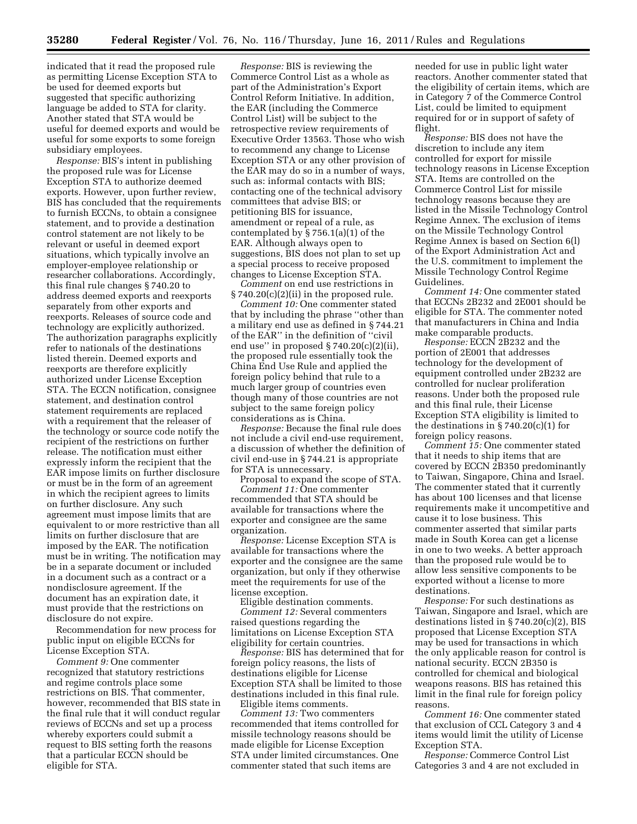indicated that it read the proposed rule as permitting License Exception STA to be used for deemed exports but suggested that specific authorizing language be added to STA for clarity. Another stated that STA would be useful for deemed exports and would be useful for some exports to some foreign subsidiary employees.

*Response:* BIS's intent in publishing the proposed rule was for License Exception STA to authorize deemed exports. However, upon further review, BIS has concluded that the requirements to furnish ECCNs, to obtain a consignee statement, and to provide a destination control statement are not likely to be relevant or useful in deemed export situations, which typically involve an employer-employee relationship or researcher collaborations. Accordingly, this final rule changes § 740.20 to address deemed exports and reexports separately from other exports and reexports. Releases of source code and technology are explicitly authorized. The authorization paragraphs explicitly refer to nationals of the destinations listed therein. Deemed exports and reexports are therefore explicitly authorized under License Exception STA. The ECCN notification, consignee statement, and destination control statement requirements are replaced with a requirement that the releaser of the technology or source code notify the recipient of the restrictions on further release. The notification must either expressly inform the recipient that the EAR impose limits on further disclosure or must be in the form of an agreement in which the recipient agrees to limits on further disclosure. Any such agreement must impose limits that are equivalent to or more restrictive than all limits on further disclosure that are imposed by the EAR. The notification must be in writing. The notification may be in a separate document or included in a document such as a contract or a nondisclosure agreement. If the document has an expiration date, it must provide that the restrictions on disclosure do not expire.

Recommendation for new process for public input on eligible ECCNs for License Exception STA.

*Comment 9:* One commenter recognized that statutory restrictions and regime controls place some restrictions on BIS. That commenter, however, recommended that BIS state in the final rule that it will conduct regular reviews of ECCNs and set up a process whereby exporters could submit a request to BIS setting forth the reasons that a particular ECCN should be eligible for STA.

*Response:* BIS is reviewing the Commerce Control List as a whole as part of the Administration's Export Control Reform Initiative. In addition, the EAR (including the Commerce Control List) will be subject to the retrospective review requirements of Executive Order 13563. Those who wish to recommend any change to License Exception STA or any other provision of the EAR may do so in a number of ways, such as: informal contacts with BIS; contacting one of the technical advisory committees that advise BIS; or petitioning BIS for issuance, amendment or repeal of a rule, as contemplated by  $\S 756.1(a)(1)$  of the EAR. Although always open to suggestions, BIS does not plan to set up a special process to receive proposed changes to License Exception STA.

*Comment* on end use restrictions in  $§ 740.20(c)(2)(ii)$  in the proposed rule.

*Comment 10:* One commenter stated that by including the phrase ''other than a military end use as defined in § 744.21 of the EAR'' in the definition of ''civil end use" in proposed  $\S 740.20(c)(2)(ii)$ , the proposed rule essentially took the China End Use Rule and applied the foreign policy behind that rule to a much larger group of countries even though many of those countries are not subject to the same foreign policy considerations as is China.

*Response:* Because the final rule does not include a civil end-use requirement, a discussion of whether the definition of civil end-use in § 744.21 is appropriate for STA is unnecessary.

Proposal to expand the scope of STA. *Comment 11:* One commenter recommended that STA should be available for transactions where the exporter and consignee are the same organization.

*Response:* License Exception STA is available for transactions where the exporter and the consignee are the same organization, but only if they otherwise meet the requirements for use of the license exception.

Eligible destination comments. *Comment 12:* Several commenters raised questions regarding the limitations on License Exception STA eligibility for certain countries.

*Response:* BIS has determined that for foreign policy reasons, the lists of destinations eligible for License Exception STA shall be limited to those destinations included in this final rule.

Eligible items comments.

*Comment 13:* Two commenters recommended that items controlled for missile technology reasons should be made eligible for License Exception STA under limited circumstances. One commenter stated that such items are

needed for use in public light water reactors. Another commenter stated that the eligibility of certain items, which are in Category 7 of the Commerce Control List, could be limited to equipment required for or in support of safety of flight.

*Response:* BIS does not have the discretion to include any item controlled for export for missile technology reasons in License Exception STA. Items are controlled on the Commerce Control List for missile technology reasons because they are listed in the Missile Technology Control Regime Annex. The exclusion of items on the Missile Technology Control Regime Annex is based on Section 6(l) of the Export Administration Act and the U.S. commitment to implement the Missile Technology Control Regime Guidelines.

*Comment 14:* One commenter stated that ECCNs 2B232 and 2E001 should be eligible for STA. The commenter noted that manufacturers in China and India make comparable products.

*Response:* ECCN 2B232 and the portion of 2E001 that addresses technology for the development of equipment controlled under 2B232 are controlled for nuclear proliferation reasons. Under both the proposed rule and this final rule, their License Exception STA eligibility is limited to the destinations in  $\S 740.20(c)(1)$  for foreign policy reasons.

*Comment 15:* One commenter stated that it needs to ship items that are covered by ECCN 2B350 predominantly to Taiwan, Singapore, China and Israel. The commenter stated that it currently has about 100 licenses and that license requirements make it uncompetitive and cause it to lose business. This commenter asserted that similar parts made in South Korea can get a license in one to two weeks. A better approach than the proposed rule would be to allow less sensitive components to be exported without a license to more destinations.

*Response:* For such destinations as Taiwan, Singapore and Israel, which are destinations listed in § 740.20(c)(2), BIS proposed that License Exception STA may be used for transactions in which the only applicable reason for control is national security. ECCN 2B350 is controlled for chemical and biological weapons reasons. BIS has retained this limit in the final rule for foreign policy reasons.

*Comment 16:* One commenter stated that exclusion of CCL Category 3 and 4 items would limit the utility of License Exception STA.

*Response:* Commerce Control List Categories 3 and 4 are not excluded in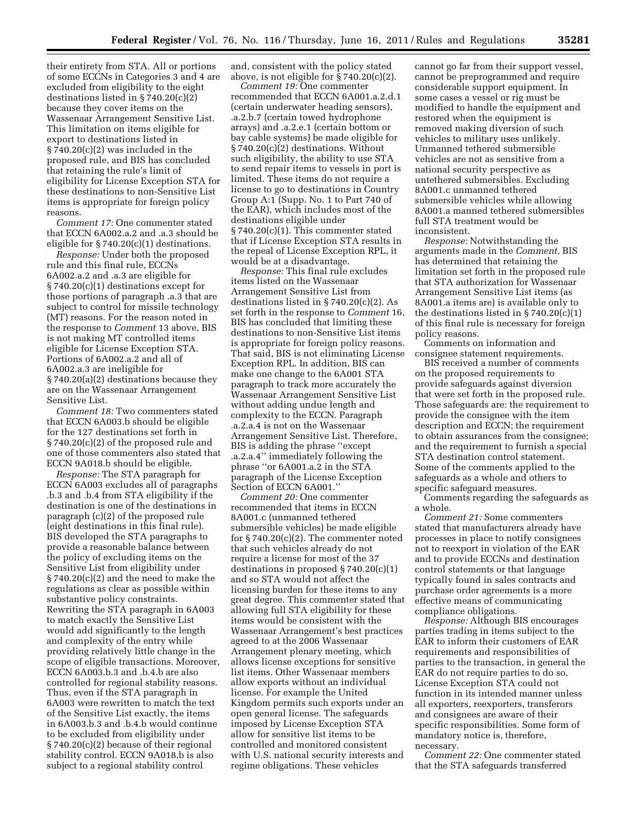their entirety from STA. All or portions of some ECCNs in Categories 3 and 4 are excluded from eligibility to the eight destinations listed in § 740.20(c)(2) because they cover items on the Wassenaar Arrangement Sensitive List. This limitation on items eligible for export to destinations listed in  $\S 740.20(c)(2)$  was included in the proposed rule, and BIS has concluded that retaining the rule's limit of eligibility for License Exception STA for these destinations to non-Sensitive List items is appropriate for foreign policy reasons.

*Comment 17:* One commenter stated that ECCN 6A002.a.2 and .a.3 should be eligible for § 740.20(c)(1) destinations.

*Response:* Under both the proposed rule and this final rule, ECCNs 6A002.a.2 and .a.3 are eligible for § 740.20(c)(1) destinations except for those portions of paragraph .a.3 that are subject to control for missile technology (MT) reasons. For the reason noted in the response to *Comment* 13 above, BIS is not making MT controlled items eligible for License Exception STA. Portions of 6A002.a.2 and all of 6A002.a.3 are ineligible for § 740.20(a)(2) destinations because they are on the Wassenaar Arrangement Sensitive List.

*Comment 18:* Two commenters stated that ECCN 6A003.b should be eligible for the 127 destinations set forth in § 740.20(c)(2) of the proposed rule and one of those commenters also stated that ECCN 9A018.b should be eligible.

*Response:* The STA paragraph for ECCN 6A003 excludes all of paragraphs .b.3 and .b.4 from STA eligibility if the destination is one of the destinations in paragraph (c)(2) of the proposed rule (eight destinations in this final rule). BIS developed the STA paragraphs to provide a reasonable balance between the policy of excluding items on the Sensitive List from eligibility under § 740.20(c)(2) and the need to make the regulations as clear as possible within substantive policy constraints. Rewriting the STA paragraph in 6A003 to match exactly the Sensitive List would add significantly to the length and complexity of the entry while providing relatively little change in the scope of eligible transactions. Moreover, ECCN 6A003.b.3 and .b.4.b are also controlled for regional stability reasons. Thus, even if the STA paragraph in 6A003 were rewritten to match the text of the Sensitive List exactly, the items in 6A003.b.3 and .b.4.b would continue to be excluded from eligibility under § 740.20(c)(2) because of their regional stability control. ECCN 9A018.b is also subject to a regional stability control

and, consistent with the policy stated above, is not eligible for  $\S 740.20(c)(2)$ .

*Comment 19:* One commenter recommended that ECCN 6A001.a.2.d.1 (certain underwater heading sensors), .a.2.b.7 (certain towed hydrophone arrays) and .a.2.e.1 (certain bottom or bay cable systems) be made eligible for § 740.20(c)(2) destinations. Without such eligibility, the ability to use STA to send repair items to vessels in port is limited. These items do not require a license to go to destinations in Country Group A:1 (Supp. No. 1 to Part 740 of the EAR), which includes most of the destinations eligible under § 740.20(c)(1). This commenter stated that if License Exception STA results in the repeal of License Exception RPL, it would be at a disadvantage.

*Response:* This final rule excludes items listed on the Wassenaar Arrangement Sensitive List from destinations listed in § 740.20(c)(2). As set forth in the response to *Comment* 16, BIS has concluded that limiting these destinations to non-Sensitive List items is appropriate for foreign policy reasons. That said, BIS is not eliminating License Exception RPL. In addition, BIS can make one change to the 6A001 STA paragraph to track more accurately the Wassenaar Arrangement Sensitive List without adding undue length and complexity to the ECCN. Paragraph .a.2.a.4 is not on the Wassenaar Arrangement Sensitive List. Therefore, BIS is adding the phrase ''except .a.2.a.4'' immediately following the phrase ''or 6A001.a.2 in the STA paragraph of the License Exception Section of ECCN 6A001.''

*Comment 20:* One commenter recommended that items in ECCN 8A001.c (unmanned tethered submersible vehicles) be made eligible for § 740.20(c)(2). The commenter noted that such vehicles already do not require a license for most of the 37 destinations in proposed  $\S 740.20(c)(1)$ and so STA would not affect the licensing burden for these items to any great degree. This commenter stated that allowing full STA eligibility for these items would be consistent with the Wassenaar Arrangement's best practices agreed to at the 2006 Wassenaar Arrangement plenary meeting, which allows license exceptions for sensitive list items. Other Wassenaar members allow exports without an individual license. For example the United Kingdom permits such exports under an open general license. The safeguards imposed by License Exception STA allow for sensitive list items to be controlled and monitored consistent with U.S. national security interests and regime obligations. These vehicles

cannot go far from their support vessel, cannot be preprogrammed and require considerable support equipment. In some cases a vessel or rig must be modified to handle the equipment and restored when the equipment is removed making diversion of such vehicles to military uses unlikely. Unmanned tethered submersible vehicles are not as sensitive from a national security perspective as untethered submersibles. Excluding 8A001.c unmanned tethered submersible vehicles while allowing 8A001.a manned tethered submersibles full STA treatment would be inconsistent.

*Response:* Notwithstanding the arguments made in the *Comment,* BIS has determined that retaining the limitation set forth in the proposed rule that STA authorization for Wassenaar Arrangement Sensitive List items (as 8A001.a items are) is available only to the destinations listed in  $\S 740.20(c)(1)$ of this final rule is necessary for foreign policy reasons.

Comments on information and consignee statement requirements.

BIS received a number of comments on the proposed requirements to provide safeguards against diversion that were set forth in the proposed rule. Those safeguards are: the requirement to provide the consignee with the item description and ECCN; the requirement to obtain assurances from the consignee; and the requirement to furnish a special STA destination control statement. Some of the comments applied to the safeguards as a whole and others to specific safeguard measures.

Comments regarding the safeguards as a whole.

*Comment 21:* Some commenters stated that manufacturers already have processes in place to notify consignees not to reexport in violation of the EAR and to provide ECCNs and destination control statements or that language typically found in sales contracts and purchase order agreements is a more effective means of communicating compliance obligations.

*Response:* Although BIS encourages parties trading in items subject to the EAR to inform their customers of EAR requirements and responsibilities of parties to the transaction, in general the EAR do not require parties to do so. License Exception STA could not function in its intended manner unless all exporters, reexporters, transferors and consignees are aware of their specific responsibilities. Some form of mandatory notice is, therefore, necessary.

*Comment 22:* One commenter stated that the STA safeguards transferred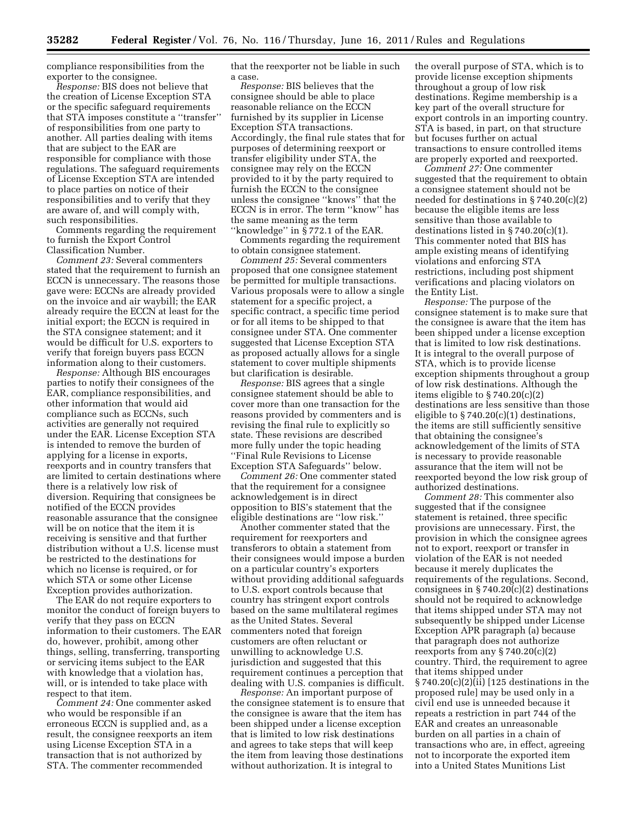compliance responsibilities from the exporter to the consignee.

*Response:* BIS does not believe that the creation of License Exception STA or the specific safeguard requirements that STA imposes constitute a ''transfer'' of responsibilities from one party to another. All parties dealing with items that are subject to the EAR are responsible for compliance with those regulations. The safeguard requirements of License Exception STA are intended to place parties on notice of their responsibilities and to verify that they are aware of, and will comply with, such responsibilities.

Comments regarding the requirement to furnish the Export Control Classification Number.

*Comment 23:* Several commenters stated that the requirement to furnish an ECCN is unnecessary. The reasons those gave were: ECCNs are already provided on the invoice and air waybill; the EAR already require the ECCN at least for the initial export; the ECCN is required in the STA consignee statement; and it would be difficult for U.S. exporters to verify that foreign buyers pass ECCN information along to their customers.

*Response:* Although BIS encourages parties to notify their consignees of the EAR, compliance responsibilities, and other information that would aid compliance such as ECCNs, such activities are generally not required under the EAR. License Exception STA is intended to remove the burden of applying for a license in exports, reexports and in country transfers that are limited to certain destinations where there is a relatively low risk of diversion. Requiring that consignees be notified of the ECCN provides reasonable assurance that the consignee will be on notice that the item it is receiving is sensitive and that further distribution without a U.S. license must be restricted to the destinations for which no license is required, or for which STA or some other License Exception provides authorization.

The EAR do not require exporters to monitor the conduct of foreign buyers to verify that they pass on ECCN information to their customers. The EAR do, however, prohibit, among other things, selling, transferring, transporting or servicing items subject to the EAR with knowledge that a violation has, will, or is intended to take place with respect to that item.

*Comment 24:* One commenter asked who would be responsible if an erroneous ECCN is supplied and, as a result, the consignee reexports an item using License Exception STA in a transaction that is not authorized by STA. The commenter recommended

that the reexporter not be liable in such a case.

*Response:* BIS believes that the consignee should be able to place reasonable reliance on the ECCN furnished by its supplier in License Exception STA transactions. Accordingly, the final rule states that for purposes of determining reexport or transfer eligibility under STA, the consignee may rely on the ECCN provided to it by the party required to furnish the ECCN to the consignee unless the consignee ''knows'' that the ECCN is in error. The term ''know'' has the same meaning as the term "knowledge" in  $\S$  772.1 of the EAR.

Comments regarding the requirement to obtain consignee statement.

*Comment 25:* Several commenters proposed that one consignee statement be permitted for multiple transactions. Various proposals were to allow a single statement for a specific project, a specific contract, a specific time period or for all items to be shipped to that consignee under STA. One commenter suggested that License Exception STA as proposed actually allows for a single statement to cover multiple shipments but clarification is desirable.

*Response:* BIS agrees that a single consignee statement should be able to cover more than one transaction for the reasons provided by commenters and is revising the final rule to explicitly so state. These revisions are described more fully under the topic heading ''Final Rule Revisions to License Exception STA Safeguards'' below.

*Comment 26:* One commenter stated that the requirement for a consignee acknowledgement is in direct opposition to BIS's statement that the eligible destinations are ''low risk.''

Another commenter stated that the requirement for reexporters and transferors to obtain a statement from their consignees would impose a burden on a particular country's exporters without providing additional safeguards to U.S. export controls because that country has stringent export controls based on the same multilateral regimes as the United States. Several commenters noted that foreign customers are often reluctant or unwilling to acknowledge U.S. jurisdiction and suggested that this requirement continues a perception that dealing with U.S. companies is difficult.

*Response:* An important purpose of the consignee statement is to ensure that the consignee is aware that the item has been shipped under a license exception that is limited to low risk destinations and agrees to take steps that will keep the item from leaving those destinations without authorization. It is integral to

the overall purpose of STA, which is to provide license exception shipments throughout a group of low risk destinations. Regime membership is a key part of the overall structure for export controls in an importing country. STA is based, in part, on that structure but focuses further on actual transactions to ensure controlled items are properly exported and reexported.

*Comment 27:* One commenter suggested that the requirement to obtain a consignee statement should not be needed for destinations in § 740.20(c)(2) because the eligible items are less sensitive than those available to destinations listed in § 740.20(c)(1). This commenter noted that BIS has ample existing means of identifying violations and enforcing STA restrictions, including post shipment verifications and placing violators on the Entity List.

*Response:* The purpose of the consignee statement is to make sure that the consignee is aware that the item has been shipped under a license exception that is limited to low risk destinations. It is integral to the overall purpose of STA, which is to provide license exception shipments throughout a group of low risk destinations. Although the items eligible to § 740.20(c)(2) destinations are less sensitive than those eligible to  $\S 740.20(c)(1)$  destinations, the items are still sufficiently sensitive that obtaining the consignee's acknowledgement of the limits of STA is necessary to provide reasonable assurance that the item will not be reexported beyond the low risk group of authorized destinations.

*Comment 28:* This commenter also suggested that if the consignee statement is retained, three specific provisions are unnecessary. First, the provision in which the consignee agrees not to export, reexport or transfer in violation of the EAR is not needed because it merely duplicates the requirements of the regulations. Second, consignees in  $\S 740.20(c)(2)$  destinations should not be required to acknowledge that items shipped under STA may not subsequently be shipped under License Exception APR paragraph (a) because that paragraph does not authorize reexports from any § 740.20(c)(2) country. Third, the requirement to agree that items shipped under § 740.20(c)(2)(ii) [125 destinations in the proposed rule] may be used only in a civil end use is unneeded because it repeats a restriction in part 744 of the EAR and creates an unreasonable burden on all parties in a chain of transactions who are, in effect, agreeing not to incorporate the exported item into a United States Munitions List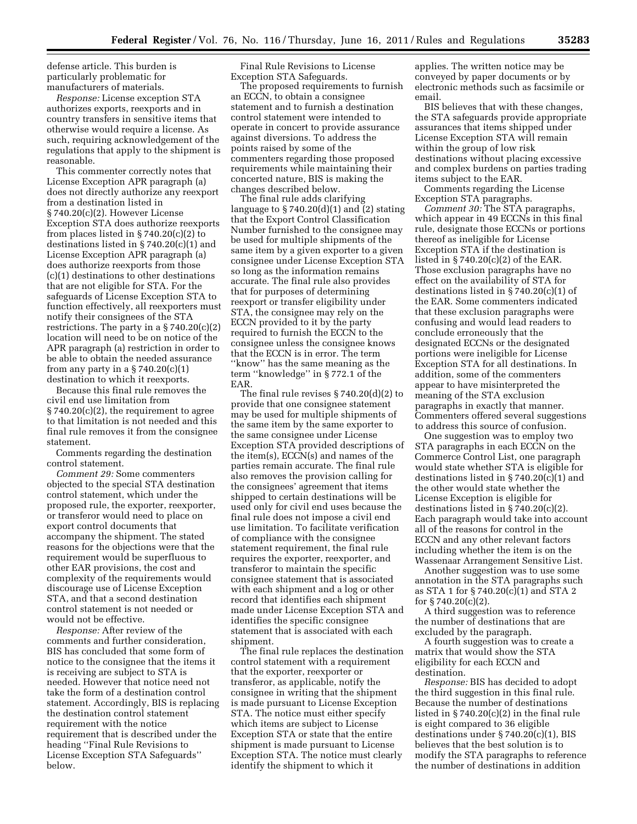defense article. This burden is particularly problematic for manufacturers of materials.

*Response:* License exception STA authorizes exports, reexports and in country transfers in sensitive items that otherwise would require a license. As such, requiring acknowledgement of the regulations that apply to the shipment is reasonable.

This commenter correctly notes that License Exception APR paragraph (a) does not directly authorize any reexport from a destination listed in § 740.20(c)(2). However License Exception STA does authorize reexports from places listed in  $\S 740.20(c)(2)$  to destinations listed in § 740.20(c)(1) and License Exception APR paragraph (a) does authorize reexports from those (c)(1) destinations to other destinations that are not eligible for STA. For the safeguards of License Exception STA to function effectively, all reexporters must notify their consignees of the STA restrictions. The party in a § 740.20(c)(2) location will need to be on notice of the APR paragraph (a) restriction in order to be able to obtain the needed assurance from any party in a  $\S 740.20(c)(1)$ destination to which it reexports.

Because this final rule removes the civil end use limitation from § 740.20(c)(2), the requirement to agree to that limitation is not needed and this final rule removes it from the consignee statement.

Comments regarding the destination control statement.

*Comment 29:* Some commenters objected to the special STA destination control statement, which under the proposed rule, the exporter, reexporter, or transferor would need to place on export control documents that accompany the shipment. The stated reasons for the objections were that the requirement would be superfluous to other EAR provisions, the cost and complexity of the requirements would discourage use of License Exception STA, and that a second destination control statement is not needed or would not be effective.

*Response:* After review of the comments and further consideration, BIS has concluded that some form of notice to the consignee that the items it is receiving are subject to STA is needed. However that notice need not take the form of a destination control statement. Accordingly, BIS is replacing the destination control statement requirement with the notice requirement that is described under the heading ''Final Rule Revisions to License Exception STA Safeguards'' below.

Final Rule Revisions to License Exception STA Safeguards.

The proposed requirements to furnish an ECCN, to obtain a consignee statement and to furnish a destination control statement were intended to operate in concert to provide assurance against diversions. To address the points raised by some of the commenters regarding those proposed requirements while maintaining their concerted nature, BIS is making the changes described below.

The final rule adds clarifying language to  $\S 740.20(d)(1)$  and (2) stating that the Export Control Classification Number furnished to the consignee may be used for multiple shipments of the same item by a given exporter to a given consignee under License Exception STA so long as the information remains accurate. The final rule also provides that for purposes of determining reexport or transfer eligibility under STA, the consignee may rely on the ECCN provided to it by the party required to furnish the ECCN to the consignee unless the consignee knows that the ECCN is in error. The term ''know'' has the same meaning as the term ''knowledge'' in § 772.1 of the EAR.

The final rule revises § 740.20(d)(2) to provide that one consignee statement may be used for multiple shipments of the same item by the same exporter to the same consignee under License Exception STA provided descriptions of the item(s), ECCN(s) and names of the parties remain accurate. The final rule also removes the provision calling for the consignees' agreement that items shipped to certain destinations will be used only for civil end uses because the final rule does not impose a civil end use limitation. To facilitate verification of compliance with the consignee statement requirement, the final rule requires the exporter, reexporter, and transferor to maintain the specific consignee statement that is associated with each shipment and a log or other record that identifies each shipment made under License Exception STA and identifies the specific consignee statement that is associated with each shipment.

The final rule replaces the destination control statement with a requirement that the exporter, reexporter or transferor, as applicable, notify the consignee in writing that the shipment is made pursuant to License Exception STA. The notice must either specify which items are subject to License Exception STA or state that the entire shipment is made pursuant to License Exception STA. The notice must clearly identify the shipment to which it

applies. The written notice may be conveyed by paper documents or by electronic methods such as facsimile or email.

BIS believes that with these changes, the STA safeguards provide appropriate assurances that items shipped under License Exception STA will remain within the group of low risk destinations without placing excessive and complex burdens on parties trading items subject to the EAR.

Comments regarding the License Exception STA paragraphs.

*Comment 30:* The STA paragraphs, which appear in 49 ECCNs in this final rule, designate those ECCNs or portions thereof as ineligible for License Exception STA if the destination is listed in § 740.20(c)(2) of the EAR. Those exclusion paragraphs have no effect on the availability of STA for destinations listed in § 740.20(c)(1) of the EAR. Some commenters indicated that these exclusion paragraphs were confusing and would lead readers to conclude erroneously that the designated ECCNs or the designated portions were ineligible for License Exception STA for all destinations. In addition, some of the commenters appear to have misinterpreted the meaning of the STA exclusion paragraphs in exactly that manner. Commenters offered several suggestions to address this source of confusion.

One suggestion was to employ two STA paragraphs in each ECCN on the Commerce Control List, one paragraph would state whether STA is eligible for destinations listed in § 740.20(c)(1) and the other would state whether the License Exception is eligible for destinations listed in § 740.20(c)(2). Each paragraph would take into account all of the reasons for control in the ECCN and any other relevant factors including whether the item is on the Wassenaar Arrangement Sensitive List.

Another suggestion was to use some annotation in the STA paragraphs such as STA 1 for § 740.20(c)(1) and STA 2 for § 740.20(c)(2).

A third suggestion was to reference the number of destinations that are excluded by the paragraph.

A fourth suggestion was to create a matrix that would show the STA eligibility for each ECCN and destination.

*Response:* BIS has decided to adopt the third suggestion in this final rule. Because the number of destinations listed in  $\S 740.20(c)(2)$  in the final rule is eight compared to 36 eligible destinations under § 740.20(c)(1), BIS believes that the best solution is to modify the STA paragraphs to reference the number of destinations in addition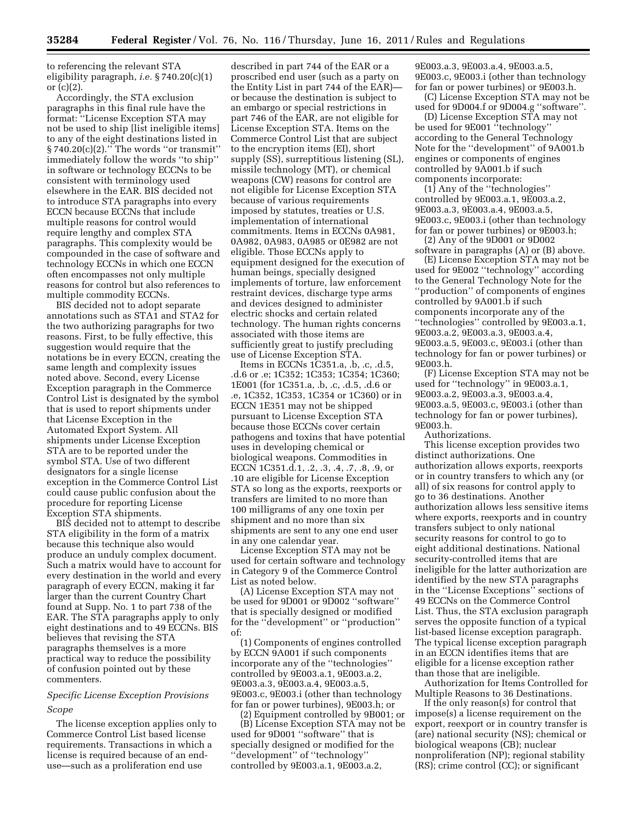to referencing the relevant STA eligibility paragraph, *i.e.* § 740.20(c)(1) or (c)(2).

Accordingly, the STA exclusion paragraphs in this final rule have the format: ''License Exception STA may not be used to ship [list ineligible items] to any of the eight destinations listed in § 740.20(c)(2).'' The words ''or transmit'' immediately follow the words ''to ship'' in software or technology ECCNs to be consistent with terminology used elsewhere in the EAR. BIS decided not to introduce STA paragraphs into every ECCN because ECCNs that include multiple reasons for control would require lengthy and complex STA paragraphs. This complexity would be compounded in the case of software and technology ECCNs in which one ECCN often encompasses not only multiple reasons for control but also references to multiple commodity ECCNs.

BIS decided not to adopt separate annotations such as STA1 and STA2 for the two authorizing paragraphs for two reasons. First, to be fully effective, this suggestion would require that the notations be in every ECCN, creating the same length and complexity issues noted above. Second, every License Exception paragraph in the Commerce Control List is designated by the symbol that is used to report shipments under that License Exception in the Automated Export System. All shipments under License Exception STA are to be reported under the symbol STA. Use of two different designators for a single license exception in the Commerce Control List could cause public confusion about the procedure for reporting License Exception STA shipments.

BIS decided not to attempt to describe STA eligibility in the form of a matrix because this technique also would produce an unduly complex document. Such a matrix would have to account for every destination in the world and every paragraph of every ECCN, making it far larger than the current Country Chart found at Supp. No. 1 to part 738 of the EAR. The STA paragraphs apply to only eight destinations and to 49 ECCNs. BIS believes that revising the STA paragraphs themselves is a more practical way to reduce the possibility of confusion pointed out by these commenters.

# *Specific License Exception Provisions Scope*

The license exception applies only to Commerce Control List based license requirements. Transactions in which a license is required because of an enduse—such as a proliferation end use

described in part 744 of the EAR or a proscribed end user (such as a party on the Entity List in part 744 of the EAR) or because the destination is subject to an embargo or special restrictions in part 746 of the EAR, are not eligible for License Exception STA. Items on the Commerce Control List that are subject to the encryption items (EI), short supply (SS), surreptitious listening (SL), missile technology (MT), or chemical weapons (CW) reasons for control are not eligible for License Exception STA because of various requirements imposed by statutes, treaties or U.S. implementation of international commitments. Items in ECCNs 0A981, 0A982, 0A983, 0A985 or 0E982 are not eligible. Those ECCNs apply to equipment designed for the execution of human beings, specially designed implements of torture, law enforcement restraint devices, discharge type arms and devices designed to administer electric shocks and certain related technology. The human rights concerns associated with those items are sufficiently great to justify precluding use of License Exception STA.

Items in ECCNs 1C351.a, .b, .c, .d.5, .d.6 or .e; 1C352; 1C353; 1C354; 1C360; 1E001 (for 1C351.a, .b, .c, .d.5, .d.6 or .e, 1C352, 1C353, 1C354 or 1C360) or in ECCN 1E351 may not be shipped pursuant to License Exception STA because those ECCNs cover certain pathogens and toxins that have potential uses in developing chemical or biological weapons. Commodities in ECCN 1C351.d.1, .2, .3, .4, .7, .8, .9, or .10 are eligible for License Exception STA so long as the exports, reexports or transfers are limited to no more than 100 milligrams of any one toxin per shipment and no more than six shipments are sent to any one end user in any one calendar year.

License Exception STA may not be used for certain software and technology in Category 9 of the Commerce Control List as noted below.

(A) License Exception STA may not be used for 9D001 or 9D002 ''software'' that is specially designed or modified for the ''development'' or ''production'' of:

(1) Components of engines controlled by ECCN 9A001 if such components incorporate any of the ''technologies'' controlled by 9E003.a.1, 9E003.a.2, 9E003.a.3, 9E003.a.4, 9E003.a.5, 9E003.c, 9E003.i (other than technology for fan or power turbines), 9E003.h; or

(2) Equipment controlled by 9B001; or (B) License Exception STA may not be used for 9D001 ''software'' that is specially designed or modified for the ''development'' of ''technology'' controlled by 9E003.a.1, 9E003.a.2,

9E003.a.3, 9E003.a.4, 9E003.a.5, 9E003.c, 9E003.i (other than technology for fan or power turbines) or 9E003.h.

(C) License Exception STA may not be used for 9D004.f or 9D004.g ''software''.

(D) License Exception STA may not be used for 9E001 "technology" according to the General Technology Note for the ''development'' of 9A001.b engines or components of engines controlled by 9A001.b if such components incorporate:

(1) Any of the ''technologies'' controlled by 9E003.a.1, 9E003.a.2, 9E003.a.3, 9E003.a.4, 9E003.a.5, 9E003.c, 9E003.i (other than technology for fan or power turbines) or 9E003.h;

(2) Any of the 9D001 or 9D002 software in paragraphs (A) or (B) above.

(E) License Exception STA may not be used for 9E002 ''technology'' according to the General Technology Note for the ''production'' of components of engines controlled by 9A001.b if such components incorporate any of the ''technologies'' controlled by 9E003.a.1, 9E003.a.2, 9E003.a.3, 9E003.a.4, 9E003.a.5, 9E003.c, 9E003.i (other than technology for fan or power turbines) or 9E003.h.

(F) License Exception STA may not be used for ''technology'' in 9E003.a.1, 9E003.a.2, 9E003.a.3, 9E003.a.4, 9E003.a.5, 9E003.c, 9E003.i (other than technology for fan or power turbines), 9E003.h.

Authorizations.

This license exception provides two distinct authorizations. One authorization allows exports, reexports or in country transfers to which any (or all) of six reasons for control apply to go to 36 destinations. Another authorization allows less sensitive items where exports, reexports and in country transfers subject to only national security reasons for control to go to eight additional destinations. National security-controlled items that are ineligible for the latter authorization are identified by the new STA paragraphs in the ''License Exceptions'' sections of 49 ECCNs on the Commerce Control List. Thus, the STA exclusion paragraph serves the opposite function of a typical list-based license exception paragraph. The typical license exception paragraph in an ECCN identifies items that are eligible for a license exception rather than those that are ineligible.

Authorization for Items Controlled for Multiple Reasons to 36 Destinations.

If the only reason(s) for control that impose(s) a license requirement on the export, reexport or in country transfer is (are) national security (NS); chemical or biological weapons (CB); nuclear nonproliferation (NP); regional stability (RS); crime control (CC); or significant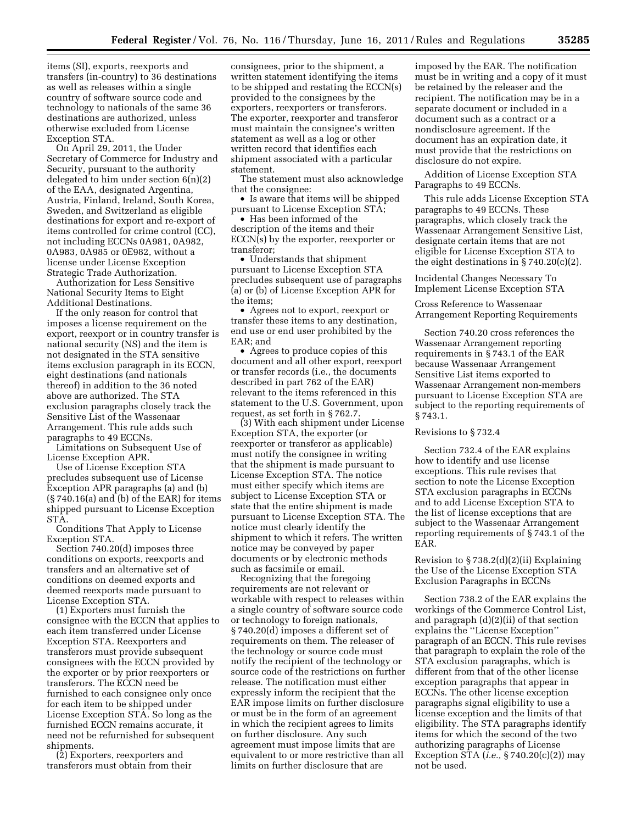items (SI), exports, reexports and transfers (in-country) to 36 destinations as well as releases within a single country of software source code and technology to nationals of the same 36 destinations are authorized, unless otherwise excluded from License Exception STA.

On April 29, 2011, the Under Secretary of Commerce for Industry and Security, pursuant to the authority delegated to him under section 6(n)(2) of the EAA, designated Argentina, Austria, Finland, Ireland, South Korea, Sweden, and Switzerland as eligible destinations for export and re-export of items controlled for crime control (CC), not including ECCNs 0A981, 0A982, 0A983, 0A985 or 0E982, without a license under License Exception Strategic Trade Authorization.

Authorization for Less Sensitive National Security Items to Eight Additional Destinations.

If the only reason for control that imposes a license requirement on the export, reexport or in country transfer is national security (NS) and the item is not designated in the STA sensitive items exclusion paragraph in its ECCN, eight destinations (and nationals thereof) in addition to the 36 noted above are authorized. The STA exclusion paragraphs closely track the Sensitive List of the Wassenaar Arrangement. This rule adds such paragraphs to 49 ECCNs.

Limitations on Subsequent Use of License Exception APR.

Use of License Exception STA precludes subsequent use of License Exception APR paragraphs (a) and (b) (§ 740.16(a) and (b) of the EAR) for items shipped pursuant to License Exception STA.

Conditions That Apply to License Exception STA.

Section 740.20(d) imposes three conditions on exports, reexports and transfers and an alternative set of conditions on deemed exports and deemed reexports made pursuant to License Exception STA.

(1) Exporters must furnish the consignee with the ECCN that applies to each item transferred under License Exception STA. Reexporters and transferors must provide subsequent consignees with the ECCN provided by the exporter or by prior reexporters or transferors. The ECCN need be furnished to each consignee only once for each item to be shipped under License Exception STA. So long as the furnished ECCN remains accurate, it need not be refurnished for subsequent shipments.

(2) Exporters, reexporters and transferors must obtain from their consignees, prior to the shipment, a written statement identifying the items to be shipped and restating the ECCN(s) provided to the consignees by the exporters, reexporters or transferors. The exporter, reexporter and transferor must maintain the consignee's written statement as well as a log or other written record that identifies each shipment associated with a particular statement.

The statement must also acknowledge that the consignee:

• Is aware that items will be shipped pursuant to License Exception STA;

• Has been informed of the description of the items and their ECCN(s) by the exporter, reexporter or transferor;

• Understands that shipment pursuant to License Exception STA precludes subsequent use of paragraphs (a) or (b) of License Exception APR for the items;

• Agrees not to export, reexport or transfer these items to any destination, end use or end user prohibited by the EAR; and

• Agrees to produce copies of this document and all other export, reexport or transfer records (i.e., the documents described in part 762 of the EAR) relevant to the items referenced in this statement to the U.S. Government, upon request, as set forth in § 762.7.

(3) With each shipment under License Exception STA, the exporter (or reexporter or transferor as applicable) must notify the consignee in writing that the shipment is made pursuant to License Exception STA. The notice must either specify which items are subject to License Exception STA or state that the entire shipment is made pursuant to License Exception STA. The notice must clearly identify the shipment to which it refers. The written notice may be conveyed by paper documents or by electronic methods such as facsimile or email.

Recognizing that the foregoing requirements are not relevant or workable with respect to releases within a single country of software source code or technology to foreign nationals, § 740.20(d) imposes a different set of requirements on them. The releaser of the technology or source code must notify the recipient of the technology or source code of the restrictions on further release. The notification must either expressly inform the recipient that the EAR impose limits on further disclosure or must be in the form of an agreement in which the recipient agrees to limits on further disclosure. Any such agreement must impose limits that are equivalent to or more restrictive than all limits on further disclosure that are

imposed by the EAR. The notification must be in writing and a copy of it must be retained by the releaser and the recipient. The notification may be in a separate document or included in a document such as a contract or a nondisclosure agreement. If the document has an expiration date, it must provide that the restrictions on disclosure do not expire.

Addition of License Exception STA Paragraphs to 49 ECCNs.

This rule adds License Exception STA paragraphs to 49 ECCNs. These paragraphs, which closely track the Wassenaar Arrangement Sensitive List, designate certain items that are not eligible for License Exception STA to the eight destinations in § 740.20(c)(2).

Incidental Changes Necessary To Implement License Exception STA

Cross Reference to Wassenaar Arrangement Reporting Requirements

Section 740.20 cross references the Wassenaar Arrangement reporting requirements in § 743.1 of the EAR because Wassenaar Arrangement Sensitive List items exported to Wassenaar Arrangement non-members pursuant to License Exception STA are subject to the reporting requirements of § 743.1.

Revisions to § 732.4

Section 732.4 of the EAR explains how to identify and use license exceptions. This rule revises that section to note the License Exception STA exclusion paragraphs in ECCNs and to add License Exception STA to the list of license exceptions that are subject to the Wassenaar Arrangement reporting requirements of § 743.1 of the EAR.

Revision to § 738.2(d)(2)(ii) Explaining the Use of the License Exception STA Exclusion Paragraphs in ECCNs

Section 738.2 of the EAR explains the workings of the Commerce Control List, and paragraph (d)(2)(ii) of that section explains the ''License Exception'' paragraph of an ECCN. This rule revises that paragraph to explain the role of the STA exclusion paragraphs, which is different from that of the other license exception paragraphs that appear in ECCNs. The other license exception paragraphs signal eligibility to use a license exception and the limits of that eligibility. The STA paragraphs identify items for which the second of the two authorizing paragraphs of License Exception STA (*i.e.,* § 740.20(c)(2)) may not be used.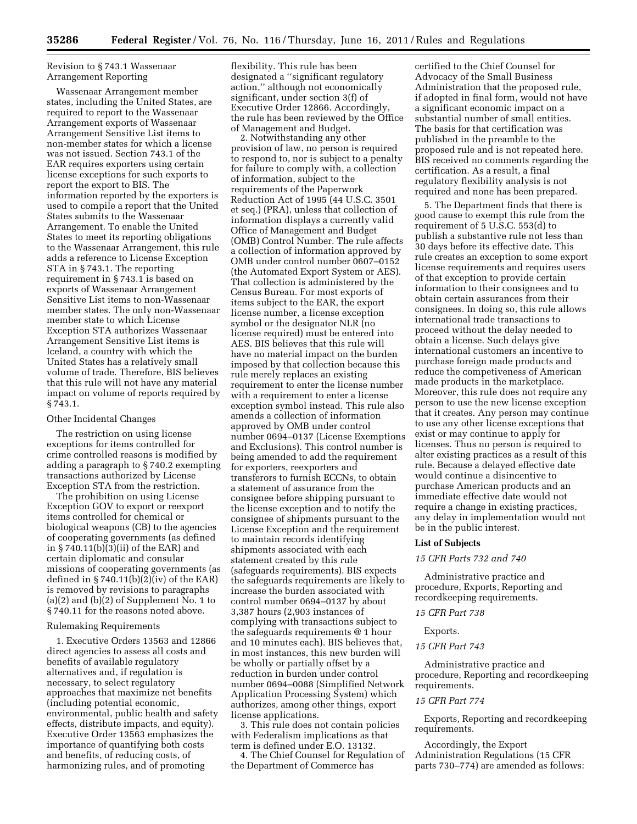# Revision to § 743.1 Wassenaar Arrangement Reporting

Wassenaar Arrangement member states, including the United States, are required to report to the Wassenaar Arrangement exports of Wassenaar Arrangement Sensitive List items to non-member states for which a license was not issued. Section 743.1 of the EAR requires exporters using certain license exceptions for such exports to report the export to BIS. The information reported by the exporters is used to compile a report that the United States submits to the Wassenaar Arrangement. To enable the United States to meet its reporting obligations to the Wassenaar Arrangement, this rule adds a reference to License Exception STA in § 743.1. The reporting requirement in § 743.1 is based on exports of Wassenaar Arrangement Sensitive List items to non-Wassenaar member states. The only non-Wassenaar member state to which License Exception STA authorizes Wassenaar Arrangement Sensitive List items is Iceland, a country with which the United States has a relatively small volume of trade. Therefore, BIS believes that this rule will not have any material impact on volume of reports required by § 743.1.

#### Other Incidental Changes

The restriction on using license exceptions for items controlled for crime controlled reasons is modified by adding a paragraph to § 740.2 exempting transactions authorized by License Exception STA from the restriction.

The prohibition on using License Exception GOV to export or reexport items controlled for chemical or biological weapons (CB) to the agencies of cooperating governments (as defined in § 740.11(b)(3)(ii) of the EAR) and certain diplomatic and consular missions of cooperating governments (as defined in  $\S 740.11(b)(2)(iv)$  of the EAR) is removed by revisions to paragraphs (a)(2) and (b)(2) of Supplement No. 1 to § 740.11 for the reasons noted above.

# Rulemaking Requirements

1. Executive Orders 13563 and 12866 direct agencies to assess all costs and benefits of available regulatory alternatives and, if regulation is necessary, to select regulatory approaches that maximize net benefits (including potential economic, environmental, public health and safety effects, distribute impacts, and equity). Executive Order 13563 emphasizes the importance of quantifying both costs and benefits, of reducing costs, of harmonizing rules, and of promoting

flexibility. This rule has been designated a ''significant regulatory action,'' although not economically significant, under section 3(f) of Executive Order 12866. Accordingly, the rule has been reviewed by the Office of Management and Budget.

2. Notwithstanding any other provision of law, no person is required to respond to, nor is subject to a penalty for failure to comply with, a collection of information, subject to the requirements of the Paperwork Reduction Act of 1995 (44 U.S.C. 3501 et seq.) (PRA), unless that collection of information displays a currently valid Office of Management and Budget (OMB) Control Number. The rule affects a collection of information approved by OMB under control number 0607–0152 (the Automated Export System or AES). That collection is administered by the Census Bureau. For most exports of items subject to the EAR, the export license number, a license exception symbol or the designator NLR (no license required) must be entered into AES. BIS believes that this rule will have no material impact on the burden imposed by that collection because this rule merely replaces an existing requirement to enter the license number with a requirement to enter a license exception symbol instead. This rule also amends a collection of information approved by OMB under control number 0694–0137 (License Exemptions and Exclusions). This control number is being amended to add the requirement for exporters, reexporters and transferors to furnish ECCNs, to obtain a statement of assurance from the consignee before shipping pursuant to the license exception and to notify the consignee of shipments pursuant to the License Exception and the requirement to maintain records identifying shipments associated with each statement created by this rule (safeguards requirements). BIS expects the safeguards requirements are likely to increase the burden associated with control number 0694–0137 by about 3,387 hours (2,903 instances of complying with transactions subject to the safeguards requirements @ 1 hour and 10 minutes each). BIS believes that, in most instances, this new burden will be wholly or partially offset by a reduction in burden under control number 0694–0088 (Simplified Network Application Processing System) which authorizes, among other things, export license applications.

3. This rule does not contain policies with Federalism implications as that term is defined under E.O. 13132.

4. The Chief Counsel for Regulation of the Department of Commerce has

certified to the Chief Counsel for Advocacy of the Small Business Administration that the proposed rule, if adopted in final form, would not have a significant economic impact on a substantial number of small entities. The basis for that certification was published in the preamble to the proposed rule and is not repeated here. BIS received no comments regarding the certification. As a result, a final regulatory flexibility analysis is not required and none has been prepared.

5. The Department finds that there is good cause to exempt this rule from the requirement of 5 U.S.C. 553(d) to publish a substantive rule not less than 30 days before its effective date. This rule creates an exception to some export license requirements and requires users of that exception to provide certain information to their consignees and to obtain certain assurances from their consignees. In doing so, this rule allows international trade transactions to proceed without the delay needed to obtain a license. Such delays give international customers an incentive to purchase foreign made products and reduce the competiveness of American made products in the marketplace. Moreover, this rule does not require any person to use the new license exception that it creates. Any person may continue to use any other license exceptions that exist or may continue to apply for licenses. Thus no person is required to alter existing practices as a result of this rule. Because a delayed effective date would continue a disincentive to purchase American products and an immediate effective date would not require a change in existing practices, any delay in implementation would not be in the public interest.

# **List of Subjects**

# *15 CFR Parts 732 and 740*

Administrative practice and procedure, Exports, Reporting and recordkeeping requirements.

# *15 CFR Part 738*

# Exports.

# *15 CFR Part 743*

Administrative practice and procedure, Reporting and recordkeeping requirements.

#### *15 CFR Part 774*

Exports, Reporting and recordkeeping requirements.

Accordingly, the Export Administration Regulations (15 CFR parts 730–774) are amended as follows: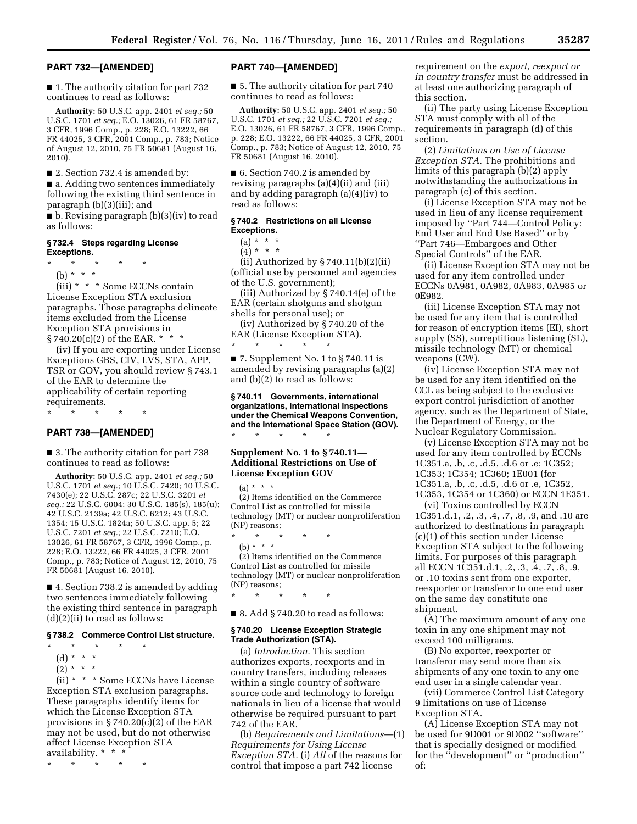# **PART 732—[AMENDED]**

■ 1. The authority citation for part 732 continues to read as follows:

**Authority:** 50 U.S.C. app. 2401 *et seq.;* 50 U.S.C. 1701 *et seq.;* E.O. 13026, 61 FR 58767, 3 CFR, 1996 Comp., p. 228; E.O. 13222, 66 FR 44025, 3 CFR, 2001 Comp., p. 783; Notice of August 12, 2010, 75 FR 50681 (August 16, 2010).

■ 2. Section 732.4 is amended by:

■ a. Adding two sentences immediately following the existing third sentence in paragraph (b)(3)(iii); and

■ b. Revising paragraph (b)(3)(iv) to read as follows:

# **§ 732.4 Steps regarding License Exceptions.**

\* \* \* \* \*

(b) \* \* \*

(iii) \* \* \* Some ECCNs contain License Exception STA exclusion paragraphs. Those paragraphs delineate items excluded from the License Exception STA provisions in  $\S\,740.20(c)(2)$  of the EAR. \* \* \*

(iv) If you are exporting under License Exceptions GBS, CIV, LVS, STA, APP, TSR or GOV, you should review § 743.1 of the EAR to determine the applicability of certain reporting requirements.

\* \* \* \* \*

# **PART 738—[AMENDED]**

■ 3. The authority citation for part 738 continues to read as follows:

**Authority:** 50 U.S.C. app. 2401 *et seq.;* 50 U.S.C. 1701 *et seq.;* 10 U.S.C. 7420; 10 U.S.C. 7430(e); 22 U.S.C. 287c; 22 U.S.C. 3201 *et seq.;* 22 U.S.C. 6004; 30 U.S.C. 185(s), 185(u); 42 U.S.C. 2139a; 42 U.S.C. 6212; 43 U.S.C. 1354; 15 U.S.C. 1824a; 50 U.S.C. app. 5; 22 U.S.C. 7201 *et seq.;* 22 U.S.C. 7210; E.O. 13026, 61 FR 58767, 3 CFR, 1996 Comp., p. 228; E.O. 13222, 66 FR 44025, 3 CFR, 2001 Comp., p. 783; Notice of August 12, 2010, 75 FR 50681 (August 16, 2010).

■ 4. Section 738.2 is amended by adding two sentences immediately following the existing third sentence in paragraph (d)(2)(ii) to read as follows:

# **§ 738.2 Commerce Control List structure.**

- \* \* \* \* \*
- (d) \* \* \*

 $(2) * * * *$ 

(ii) \* \* \* Some ECCNs have License Exception STA exclusion paragraphs. These paragraphs identify items for which the License Exception STA provisions in  $\S 740.20(c)(2)$  of the EAR may not be used, but do not otherwise affect License Exception STA availability. \* \* \*

\* \* \* \* \*

# **PART 740—[AMENDED]**

■ 5. The authority citation for part 740 continues to read as follows:

**Authority:** 50 U.S.C. app. 2401 *et seq.;* 50 U.S.C. 1701 *et seq.;* 22 U.S.C. 7201 *et seq.;*  E.O. 13026, 61 FR 58767, 3 CFR, 1996 Comp., p. 228; E.O. 13222, 66 FR 44025, 3 CFR, 2001 Comp., p. 783; Notice of August 12, 2010, 75 FR 50681 (August 16, 2010).

■ 6. Section 740.2 is amended by revising paragraphs (a)(4)(ii) and (iii) and by adding paragraph (a)(4)(iv) to read as follows:

# **§ 740.2 Restrictions on all License Exceptions.**

 $(a) * * * *$ 

 $(4)^*$  \* \*

(ii) Authorized by § 740.11(b)(2)(ii) (official use by personnel and agencies of the U.S. government);

(iii) Authorized by § 740.14(e) of the EAR (certain shotguns and shotgun shells for personal use); or

(iv) Authorized by § 740.20 of the EAR (License Exception STA).

\* \* \* \* \*

 $\blacksquare$  7. Supplement No. 1 to § 740.11 is amended by revising paragraphs (a)(2) and (b)(2) to read as follows:

**§ 740.11 Governments, international organizations, international inspections under the Chemical Weapons Convention, and the International Space Station (GOV).**  \* \* \* \* \*

# **Supplement No. 1 to § 740.11— Additional Restrictions on Use of License Exception GOV**

 $(a) * * * *$ 

(2) Items identified on the Commerce Control List as controlled for missile technology (MT) or nuclear nonproliferation (NP) reasons;

\* \* \* \* \* (b) \* \* \* (2) Items identified on the Commerce Control List as controlled for missile

technology (MT) or nuclear nonproliferation (NP) reasons; \* \* \* \* \*

 $\blacksquare$  8. Add § 740.20 to read as follows:

# **§ 740.20 License Exception Strategic Trade Authorization (STA).**

(a) *Introduction.* This section authorizes exports, reexports and in country transfers, including releases within a single country of software source code and technology to foreign nationals in lieu of a license that would otherwise be required pursuant to part 742 of the EAR.

(b) *Requirements and Limitations*—(1) *Requirements for Using License Exception STA.* (i) *All* of the reasons for control that impose a part 742 license

requirement on the *export, reexport or in country transfer* must be addressed in at least one authorizing paragraph of this section.

(ii) The party using License Exception STA must comply with all of the requirements in paragraph (d) of this section.

(2) *Limitations on Use of License Exception STA.* The prohibitions and limits of this paragraph (b)(2) apply notwithstanding the authorizations in paragraph (c) of this section.

(i) License Exception STA may not be used in lieu of any license requirement imposed by ''Part 744—Control Policy: End User and End Use Based'' or by ''Part 746—Embargoes and Other Special Controls'' of the EAR.

(ii) License Exception STA may not be used for any item controlled under ECCNs 0A981, 0A982, 0A983, 0A985 or 0E982.

(iii) License Exception STA may not be used for any item that is controlled for reason of encryption items (EI), short supply (SS), surreptitious listening (SL), missile technology (MT) or chemical weapons (CW).

(iv) License Exception STA may not be used for any item identified on the CCL as being subject to the exclusive export control jurisdiction of another agency, such as the Department of State, the Department of Energy, or the Nuclear Regulatory Commission.

(v) License Exception STA may not be used for any item controlled by ECCNs 1C351.a, .b, .c, .d.5, .d.6 or .e; 1C352; 1C353; 1C354; 1C360; 1E001 (for 1C351.a, .b, .c, .d.5, .d.6 or .e, 1C352, 1C353, 1C354 or 1C360) or ECCN 1E351.

(vi) Toxins controlled by ECCN 1C351.d.1, .2, .3, .4, .7, .8, .9, and .10 are authorized to destinations in paragraph (c)(1) of this section under License Exception STA subject to the following limits. For purposes of this paragraph all ECCN 1C351.d.1, .2, .3, .4, .7, .8, .9, or .10 toxins sent from one exporter, reexporter or transferor to one end user on the same day constitute one shipment.

(A) The maximum amount of any one toxin in any one shipment may not exceed 100 milligrams.

(B) No exporter, reexporter or transferor may send more than six shipments of any one toxin to any one end user in a single calendar year.

(vii) Commerce Control List Category 9 limitations on use of License Exception STA.

(A) License Exception STA may not be used for 9D001 or 9D002 ''software'' that is specially designed or modified for the ''development'' or ''production'' of: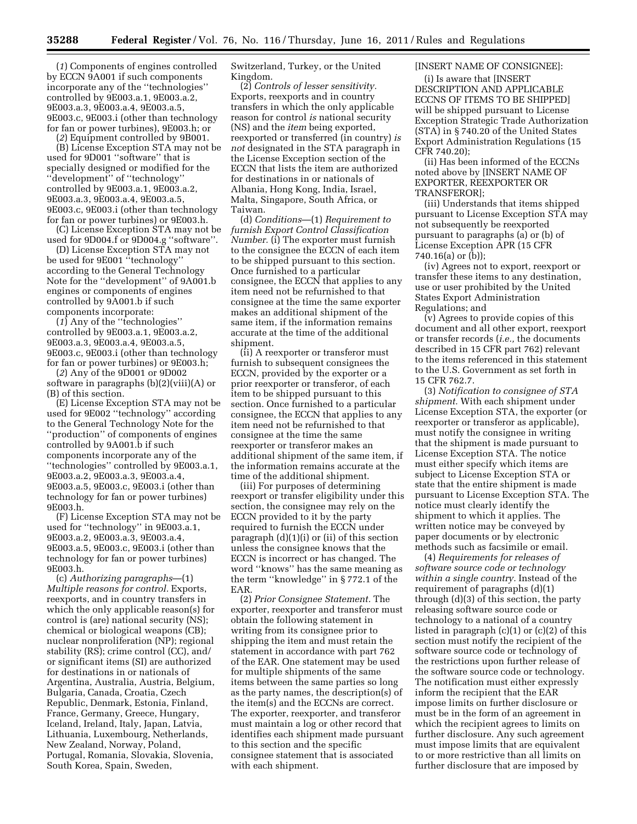(*1*) Components of engines controlled by ECCN 9A001 if such components incorporate any of the ''technologies'' controlled by 9E003.a.1, 9E003.a.2, 9E003.a.3, 9E003.a.4, 9E003.a.5, 9E003.c, 9E003.i (other than technology for fan or power turbines), 9E003.h; or

(*2*) Equipment controlled by 9B001.

(B) License Exception STA may not be used for 9D001 ''software'' that is specially designed or modified for the ''development'' of ''technology'' controlled by 9E003.a.1, 9E003.a.2, 9E003.a.3, 9E003.a.4, 9E003.a.5, 9E003.c, 9E003.i (other than technology for fan or power turbines) or 9E003.h.

(C) License Exception STA may not be used for 9D004.f or 9D004.g ''software''.

(D) License Exception STA may not be used for 9E001 ''technology'' according to the General Technology Note for the ''development'' of 9A001.b engines or components of engines controlled by 9A001.b if such components incorporate:

(*1*) Any of the ''technologies'' controlled by 9E003.a.1, 9E003.a.2, 9E003.a.3, 9E003.a.4, 9E003.a.5, 9E003.c, 9E003.i (other than technology for fan or power turbines) or 9E003.h;

(*2*) Any of the 9D001 or 9D002 software in paragraphs (b)(2)(viii)(A) or (B) of this section.

(E) License Exception STA may not be used for 9E002 ''technology'' according to the General Technology Note for the ''production'' of components of engines controlled by 9A001.b if such components incorporate any of the ''technologies'' controlled by 9E003.a.1, 9E003.a.2, 9E003.a.3, 9E003.a.4, 9E003.a.5, 9E003.c, 9E003.i (other than technology for fan or power turbines) 9E003.h.

(F) License Exception STA may not be used for ''technology'' in 9E003.a.1, 9E003.a.2, 9E003.a.3, 9E003.a.4, 9E003.a.5, 9E003.c, 9E003.i (other than technology for fan or power turbines) 9E003.h.

(c) *Authorizing paragraphs*—(1) *Multiple reasons for control.* Exports, reexports, and in country transfers in which the only applicable reason(s) for control is (are) national security (NS); chemical or biological weapons (CB); nuclear nonproliferation (NP); regional stability (RS); crime control (CC), and/ or significant items (SI) are authorized for destinations in or nationals of Argentina, Australia, Austria, Belgium, Bulgaria, Canada, Croatia, Czech Republic, Denmark, Estonia, Finland, France, Germany, Greece, Hungary, Iceland, Ireland, Italy, Japan, Latvia, Lithuania, Luxembourg, Netherlands, New Zealand, Norway, Poland, Portugal, Romania, Slovakia, Slovenia, South Korea, Spain, Sweden,

Switzerland, Turkey, or the United Kingdom.

(2) *Controls of lesser sensitivity.*  Exports, reexports and in country transfers in which the only applicable reason for control *is* national security (NS) and the *item* being exported, reexported or transferred (in country) *is not* designated in the STA paragraph in the License Exception section of the ECCN that lists the item are authorized for destinations in or nationals of Albania, Hong Kong, India, Israel, Malta, Singapore, South Africa, or Taiwan.

(d) *Conditions*—(1) *Requirement to furnish Export Control Classification Number.* (i) The exporter must furnish to the consignee the ECCN of each item to be shipped pursuant to this section. Once furnished to a particular consignee, the ECCN that applies to any item need not be refurnished to that consignee at the time the same exporter makes an additional shipment of the same item, if the information remains accurate at the time of the additional shipment.

(ii) A reexporter or transferor must furnish to subsequent consignees the ECCN, provided by the exporter or a prior reexporter or transferor, of each item to be shipped pursuant to this section. Once furnished to a particular consignee, the ECCN that applies to any item need not be refurnished to that consignee at the time the same reexporter or transferor makes an additional shipment of the same item, if the information remains accurate at the time of the additional shipment.

(iii) For purposes of determining reexport or transfer eligibility under this section, the consignee may rely on the ECCN provided to it by the party required to furnish the ECCN under paragraph (d)(1)(i) or (ii) of this section unless the consignee knows that the ECCN is incorrect or has changed. The word ''knows'' has the same meaning as the term ''knowledge'' in § 772.1 of the EAR.

(2) *Prior Consignee Statement.* The exporter, reexporter and transferor must obtain the following statement in writing from its consignee prior to shipping the item and must retain the statement in accordance with part 762 of the EAR. One statement may be used for multiple shipments of the same items between the same parties so long as the party names, the description(s) of the item(s) and the ECCNs are correct. The exporter, reexporter, and transferor must maintain a log or other record that identifies each shipment made pursuant to this section and the specific consignee statement that is associated with each shipment.

# [INSERT NAME OF CONSIGNEE]:

(i) Is aware that [INSERT DESCRIPTION AND APPLICABLE ECCNS OF ITEMS TO BE SHIPPED] will be shipped pursuant to License Exception Strategic Trade Authorization (STA) in § 740.20 of the United States Export Administration Regulations (15 CFR 740.20);

(ii) Has been informed of the ECCNs noted above by [INSERT NAME OF EXPORTER, REEXPORTER OR TRANSFEROR];

(iii) Understands that items shipped pursuant to License Exception STA may not subsequently be reexported pursuant to paragraphs (a) or (b) of License Exception APR (15 CFR 740.16(a) or (b));

(iv) Agrees not to export, reexport or transfer these items to any destination, use or user prohibited by the United States Export Administration Regulations; and

(v) Agrees to provide copies of this document and all other export, reexport or transfer records (*i.e.,* the documents described in 15 CFR part 762) relevant to the items referenced in this statement to the U.S. Government as set forth in 15 CFR 762.7.

(3) *Notification to consignee of STA shipment.* With each shipment under License Exception STA, the exporter (or reexporter or transferor as applicable), must notify the consignee in writing that the shipment is made pursuant to License Exception STA. The notice must either specify which items are subject to License Exception STA or state that the entire shipment is made pursuant to License Exception STA. The notice must clearly identify the shipment to which it applies. The written notice may be conveyed by paper documents or by electronic methods such as facsimile or email.

(4) *Requirements for releases of software source code or technology within a single country.* Instead of the requirement of paragraphs (d)(1) through (d)(3) of this section, the party releasing software source code or technology to a national of a country listed in paragraph (c)(1) or (c)(2) of this section must notify the recipient of the software source code or technology of the restrictions upon further release of the software source code or technology. The notification must either expressly inform the recipient that the EAR impose limits on further disclosure or must be in the form of an agreement in which the recipient agrees to limits on further disclosure. Any such agreement must impose limits that are equivalent to or more restrictive than all limits on further disclosure that are imposed by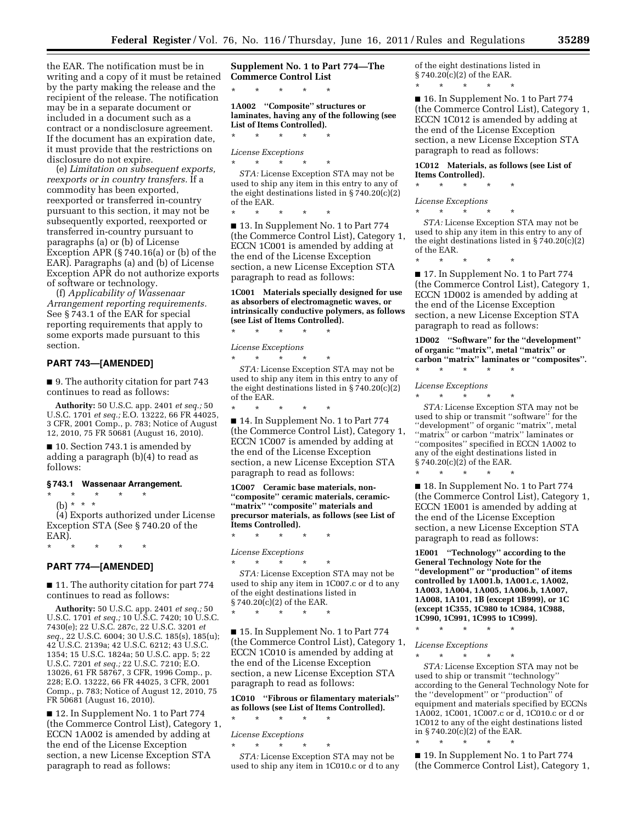the EAR. The notification must be in writing and a copy of it must be retained by the party making the release and the recipient of the release. The notification may be in a separate document or included in a document such as a contract or a nondisclosure agreement. If the document has an expiration date, it must provide that the restrictions on disclosure do not expire.

(e) *Limitation on subsequent exports, reexports or in country transfers.* If a commodity has been exported, reexported or transferred in-country pursuant to this section, it may not be subsequently exported, reexported or transferred in-country pursuant to paragraphs (a) or (b) of License Exception APR (§ 740.16(a) or (b) of the EAR). Paragraphs (a) and (b) of License Exception APR do not authorize exports of software or technology.

(f) *Applicability of Wassenaar Arrangement reporting requirements.*  See § 743.1 of the EAR for special reporting requirements that apply to some exports made pursuant to this section.

# **PART 743—[AMENDED]**

■ 9. The authority citation for part 743 continues to read as follows:

**Authority:** 50 U.S.C. app. 2401 *et seq.;* 50 U.S.C. 1701 *et seq.;* E.O. 13222, 66 FR 44025, 3 CFR, 2001 Comp., p. 783; Notice of August 12, 2010, 75 FR 50681 (August 16, 2010).

■ 10. Section 743.1 is amended by adding a paragraph (b)(4) to read as follows:

# **§ 743.1 Wassenaar Arrangement.**

# \* \* \* \* \*

(b) \* \* \*

(4) Exports authorized under License Exception STA (See § 740.20 of the EAR).

\* \* \* \* \*

# **PART 774—[AMENDED]**

■ 11. The authority citation for part 774 continues to read as follows:

**Authority:** 50 U.S.C. app. 2401 *et seq.;* 50 U.S.C. 1701 *et seq.;* 10 U.S.C. 7420; 10 U.S.C. 7430(e); 22 U.S.C. 287c, 22 U.S.C. 3201 *et seq.,* 22 U.S.C. 6004; 30 U.S.C. 185(s), 185(u); 42 U.S.C. 2139a; 42 U.S.C. 6212; 43 U.S.C. 1354; 15 U.S.C. 1824a; 50 U.S.C. app. 5; 22 U.S.C. 7201 *et seq.;* 22 U.S.C. 7210; E.O. 13026, 61 FR 58767, 3 CFR, 1996 Comp., p. 228; E.O. 13222, 66 FR 44025, 3 CFR, 2001 Comp., p. 783; Notice of August 12, 2010, 75 FR 50681 (August 16, 2010).

■ 12. In Supplement No. 1 to Part 774 (the Commerce Control List), Category 1, ECCN 1A002 is amended by adding at the end of the License Exception section, a new License Exception STA paragraph to read as follows:

**Supplement No. 1 to Part 774—The Commerce Control List** 

**1A002 ''Composite'' structures or laminates, having any of the following (see List of Items Controlled).**  \* \* \* \* \*

# *License Exceptions*

\* \* \* \* \*

\* \* \* \* \*

*STA:* License Exception STA may not be used to ship any item in this entry to any of the eight destinations listed in § 740.20(c)(2) of the EAR.

\* \* \* \* \* ■ 13. In Supplement No. 1 to Part 774 (the Commerce Control List), Category 1, ECCN 1C001 is amended by adding at the end of the License Exception section, a new License Exception STA paragraph to read as follows:

# **1C001 Materials specially designed for use as absorbers of electromagnetic waves, or intrinsically conductive polymers, as follows (see List of Items Controlled).**

\* \* \* \* \*

*License Exceptions* 

\* \* \* \* \* *STA:* License Exception STA may not be used to ship any item in this entry to any of the eight destinations listed in § 740.20(c)(2) of the EAR.

\* \* \* \* \* ■ 14. In Supplement No. 1 to Part 774 (the Commerce Control List), Category 1, ECCN 1C007 is amended by adding at the end of the License Exception section, a new License Exception STA paragraph to read as follows:

**1C007 Ceramic base materials, non- ''composite'' ceramic materials, ceramic- ''matrix'' ''composite'' materials and precursor materials, as follows (see List of Items Controlled).** 

*License Exceptions* 

\* \* \* \* \*

\* \* \* \* \* *STA:* License Exception STA may not be used to ship any item in 1C007.c or d to any of the eight destinations listed in § 740.20(c)(2) of the EAR. \* \* \* \* \*

■ 15. In Supplement No. 1 to Part 774 (the Commerce Control List), Category 1, ECCN 1C010 is amended by adding at the end of the License Exception section, a new License Exception STA paragraph to read as follows:

**1C010 ''Fibrous or filamentary materials'' as follows (see List of Items Controlled).** 

# *License Exceptions*

\* \* \* \* \*

\* \* \* \* \*

*STA:* License Exception STA may not be used to ship any item in 1C010.c or d to any of the eight destinations listed in § 740.20(c)(2) of the EAR. \* \* \* \* \*

■ 16. In Supplement No. 1 to Part 774 (the Commerce Control List), Category 1, ECCN 1C012 is amended by adding at the end of the License Exception section, a new License Exception STA paragraph to read as follows:

# **1C012 Materials, as follows (see List of Items Controlled).**

\* \* \* \* \*

*License Exceptions*   $*$  \*

*STA:* License Exception STA may not be used to ship any item in this entry to any of the eight destinations listed in § 740.20(c)(2) of the EAR.

\* \* \* \* \* ■ 17. In Supplement No. 1 to Part 774 (the Commerce Control List), Category 1, ECCN 1D002 is amended by adding at the end of the License Exception section, a new License Exception STA paragraph to read as follows:

**1D002 ''Software'' for the ''development'' of organic ''matrix'', metal ''matrix'' or carbon ''matrix'' laminates or ''composites''.** 

*License Exceptions* 

\* \* \* \* \*

\* \* \* \* \*

\* \* \* \* \* *STA:* License Exception STA may not be used to ship or transmit ''software'' for the ''development'' of organic ''matrix'', metal "matrix" or carbon "matrix" laminates or ''composites'' specified in ECCN 1A002 to any of the eight destinations listed in § 740.20(c)(2) of the EAR.

■ 18. In Supplement No. 1 to Part 774 (the Commerce Control List), Category 1, ECCN 1E001 is amended by adding at the end of the License Exception section, a new License Exception STA paragraph to read as follows:

**1E001 ''Technology'' according to the General Technology Note for the ''development'' or ''production'' of items controlled by 1A001.b, 1A001.c, 1A002, 1A003, 1A004, 1A005, 1A006.b, 1A007, 1A008, 1A101, 1B (except 1B999), or 1C (except 1C355, 1C980 to 1C984, 1C988, 1C990, 1C991, 1C995 to 1C999).** 

\* \* \* \* \*

*License Exceptions*  \* \* \* \* \*

*STA:* License Exception STA may not be used to ship or transmit ''technology'' according to the General Technology Note for the ''development'' or ''production'' of equipment and materials specified by ECCNs 1A002, 1C001, 1C007.c or d, 1C010.c or d or 1C012 to any of the eight destinations listed in § 740.20(c)(2) of the EAR.

\* \* \* \* \* ■ 19. In Supplement No. 1 to Part 774 (the Commerce Control List), Category 1,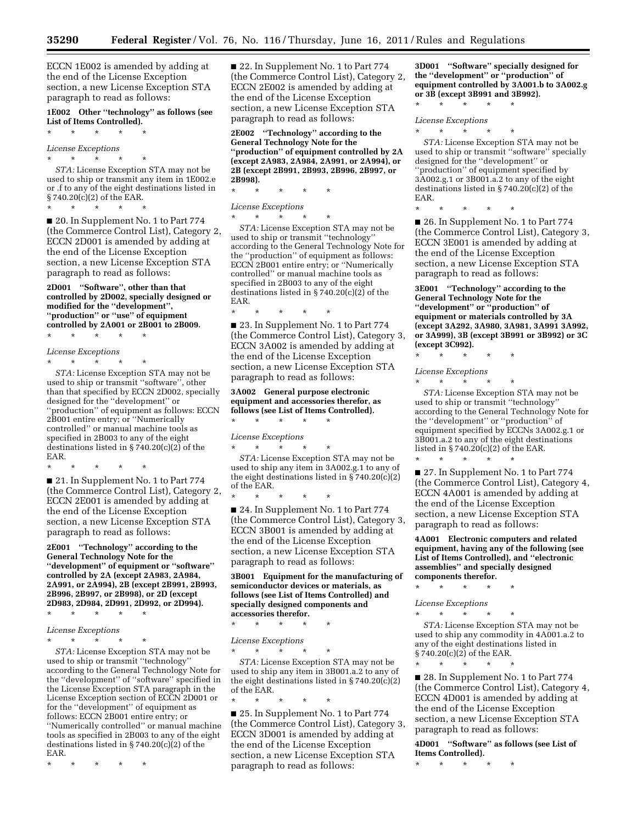ECCN 1E002 is amended by adding at the end of the License Exception section, a new License Exception STA paragraph to read as follows:

**1E002 Other ''technology'' as follows (see List of Items Controlled).** 

\* \* \* \* \*

\* \* \* \* \*

# *License Exceptions*

 $\star$   $\star$   $\star$ *STA:* License Exception STA may not be used to ship or transmit any item in 1E002.e or .f to any of the eight destinations listed in § 740.20(c)(2) of the EAR.

■ 20. In Supplement No. 1 to Part 774 (the Commerce Control List), Category 2, ECCN 2D001 is amended by adding at the end of the License Exception section, a new License Exception STA paragraph to read as follows:

**2D001 ''Software'', other than that controlled by 2D002, specially designed or modified for the ''development'', ''production'' or ''use'' of equipment controlled by 2A001 or 2B001 to 2B009.** 

\* \* \* \* \*

*License Exceptions*  \* \* \* \* \*

*STA:* License Exception STA may not be used to ship or transmit ''software'', other than that specified by ECCN 2D002, specially designed for the ''development'' or ''production'' of equipment as follows: ECCN 2B001 entire entry; or ''Numerically controlled'' or manual machine tools as specified in 2B003 to any of the eight destinations listed in § 740.20(c)(2) of the EAR.

\* \* \* \* \*

■ 21. In Supplement No. 1 to Part 774 (the Commerce Control List), Category 2, ECCN 2E001 is amended by adding at the end of the License Exception section, a new License Exception STA paragraph to read as follows:

**2E001 ''Technology'' according to the General Technology Note for the ''development'' of equipment or ''software'' controlled by 2A (except 2A983, 2A984, 2A991, or 2A994), 2B (except 2B991, 2B993, 2B996, 2B997, or 2B998), or 2D (except 2D983, 2D984, 2D991, 2D992, or 2D994).** 

\* \* \* \* \*

# *License Exceptions*

\* \* \* \* \*

*STA:* License Exception STA may not be used to ship or transmit ''technology'' according to the General Technology Note for the ''development'' of ''software'' specified in the License Exception STA paragraph in the License Exception section of ECCN 2D001 or for the ''development'' of equipment as follows: ECCN 2B001 entire entry; or ''Numerically controlled'' or manual machine tools as specified in 2B003 to any of the eight destinations listed in § 740.20(c)(2) of the EAR.

\* \* \* \* \*

■ 22. In Supplement No. 1 to Part 774 (the Commerce Control List), Category 2, ECCN 2E002 is amended by adding at the end of the License Exception section, a new License Exception STA paragraph to read as follows:

**2E002 ''Technology'' according to the General Technology Note for the ''production'' of equipment controlled by 2A (except 2A983, 2A984, 2A991, or 2A994), or 2B (except 2B991, 2B993, 2B996, 2B997, or 2B998).** 

\* \* \* \* \*

 $*$  \* \*

\* \* \* \* \*

*License Exceptions* 

*STA:* License Exception STA may not be used to ship or transmit ''technology'' according to the General Technology Note for the ''production'' of equipment as follows: ECCN 2B001 entire entry; or ''Numerically controlled'' or manual machine tools as specified in 2B003 to any of the eight destinations listed in § 740.20(c)(2) of the EAR.

■ 23. In Supplement No. 1 to Part 774 (the Commerce Control List), Category 3, ECCN 3A002 is amended by adding at the end of the License Exception section, a new License Exception STA paragraph to read as follows:

**3A002 General purpose electronic equipment and accessories therefor, as follows (see List of Items Controlled).**  \* \* \* \* \*

*License Exceptions*  \* \* \* \* \*

\* \* \* \* \*

*STA:* License Exception STA may not be used to ship any item in 3A002.g.1 to any of the eight destinations listed in § 740.20(c)(2) of the EAR.

■ 24. In Supplement No. 1 to Part 774 (the Commerce Control List), Category 3, ECCN 3B001 is amended by adding at the end of the License Exception section, a new License Exception STA paragraph to read as follows:

**3B001 Equipment for the manufacturing of semiconductor devices or materials, as follows (see List of Items Controlled) and specially designed components and accessories therefor.** 

\* \* \* \* \*

*License Exceptions* 

\* \* \* \* \* *STA:* License Exception STA may not be used to ship any item in 3B001.a.2 to any of the eight destinations listed in  $\S 740.20(c)(2)$ of the EAR.

\* \* \* \* \* ■ 25. In Supplement No. 1 to Part 774 (the Commerce Control List), Category 3, ECCN 3D001 is amended by adding at the end of the License Exception section, a new License Exception STA paragraph to read as follows:

**3D001 ''Software'' specially designed for the ''development'' or ''production'' of equipment controlled by 3A001.b to 3A002.g or 3B (except 3B991 and 3B992).** 

*License Exceptions* 

\* \* \* \* \*

\* \* \* \* \*

\* \* \* \* \*

*STA:* License Exception STA may not be used to ship or transmit ''software'' specially designed for the ''development'' or ''production'' of equipment specified by 3A002.g.1 or 3B001.a.2 to any of the eight destinations listed in § 740.20(c)(2) of the EAR.

■ 26. In Supplement No. 1 to Part 774 (the Commerce Control List), Category 3, ECCN 3E001 is amended by adding at the end of the License Exception section, a new License Exception STA paragraph to read as follows:

**3E001 ''Technology'' according to the General Technology Note for the ''development'' or ''production'' of equipment or materials controlled by 3A (except 3A292, 3A980, 3A981, 3A991 3A992, or 3A999), 3B (except 3B991 or 3B992) or 3C (except 3C992).** 

\* \* \* \* \*

\* \* \* \* \*

*License Exceptions* 

*STA:* License Exception STA may not be used to ship or transmit ''technology'' according to the General Technology Note for the ''development'' or ''production'' of equipment specified by ECCNs 3A002.g.1 or 3B001.a.2 to any of the eight destinations listed in § 740.20(c)(2) of the EAR.

\* \* \* \* \* ■ 27. In Supplement No. 1 to Part 774 (the Commerce Control List), Category 4, ECCN 4A001 is amended by adding at the end of the License Exception section, a new License Exception STA paragraph to read as follows:

**4A001 Electronic computers and related equipment, having any of the following (see List of Items Controlled), and ''electronic assemblies'' and specially designed components therefor.** 

\* \* \* \* \*

*License Exceptions* 

\* \* \* \* \*

*STA:* License Exception STA may not be used to ship any commodity in 4A001.a.2 to any of the eight destinations listed in § 740.20(c)(2) of the EAR.

\* \* \* \* \*

■ 28. In Supplement No. 1 to Part 774 (the Commerce Control List), Category 4, ECCN 4D001 is amended by adding at the end of the License Exception section, a new License Exception STA paragraph to read as follows:

**4D001 ''Software'' as follows (see List of Items Controlled).** 

\* \* \* \* \*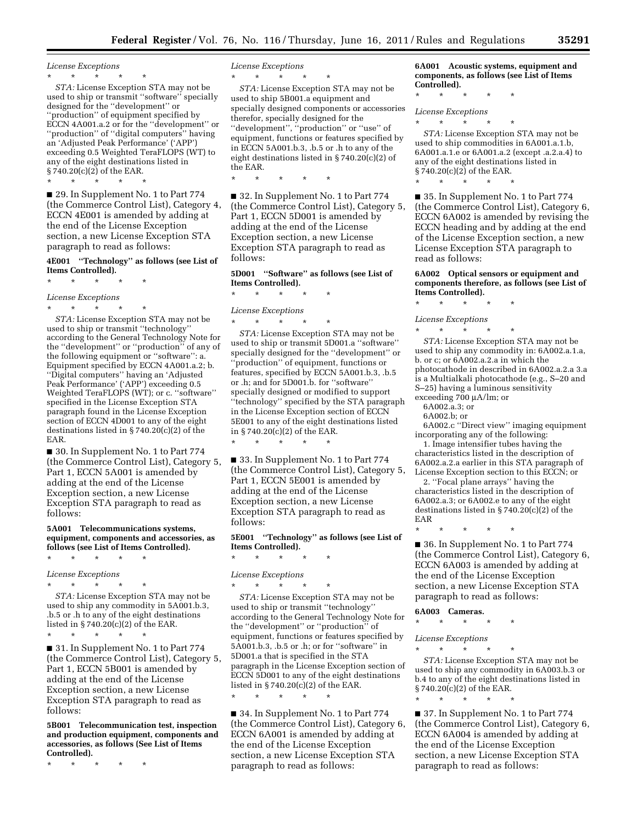*License Exceptions* 

 $\star$   $\star$   $\star$ 

*STA:* License Exception STA may not be used to ship or transmit ''software'' specially designed for the ''development'' or ''production'' of equipment specified by ECCN 4A001.a.2 or for the ''development'' or ''production'' of ''digital computers'' having an 'Adjusted Peak Performance' ('APP') exceeding 0.5 Weighted TeraFLOPS (WT) to any of the eight destinations listed in § 740.20(c)(2) of the EAR. \* \* \* \* \*

■ 29. In Supplement No. 1 to Part 774 (the Commerce Control List), Category 4, ECCN 4E001 is amended by adding at the end of the License Exception section, a new License Exception STA paragraph to read as follows:

# **4E001 ''Technology'' as follows (see List of Items Controlled).**

\* \* \* \* \*

*License Exceptions*  \* \* \* \* \*

*STA:* License Exception STA may not be used to ship or transmit ''technology'' according to the General Technology Note for the ''development'' or ''production'' of any of the following equipment or ''software'': a. Equipment specified by ECCN 4A001.a.2; b. ''Digital computers'' having an 'Adjusted Peak Performance' ('APP') exceeding 0.5 Weighted TeraFLOPS (WT); or c. ''software'' specified in the License Exception STA paragraph found in the License Exception section of ECCN 4D001 to any of the eight destinations listed in § 740.20(c)(2) of the EAR.

■ 30. In Supplement No. 1 to Part 774 (the Commerce Control List), Category 5, Part 1, ECCN 5A001 is amended by adding at the end of the License Exception section, a new License Exception STA paragraph to read as follows:

# **5A001 Telecommunications systems, equipment, components and accessories, as follows (see List of Items Controlled).**

\* \* \* \* \*

*License Exceptions*  \* \* \* \* \*

\* \* \* \* \*

*STA:* License Exception STA may not be used to ship any commodity in 5A001.b.3, .b.5 or .h to any of the eight destinations listed in § 740.20(c)(2) of the EAR.

■ 31. In Supplement No. 1 to Part 774 (the Commerce Control List), Category 5, Part 1, ECCN 5B001 is amended by adding at the end of the License Exception section, a new License Exception STA paragraph to read as follows:

**5B001 Telecommunication test, inspection and production equipment, components and accessories, as follows (See List of Items Controlled).** 

\* \* \* \* \*

*License Exceptions* 

\* \* \* \* \*

*STA:* License Exception STA may not be used to ship 5B001.a equipment and specially designed components or accessories therefor, specially designed for the ''development'', ''production'' or ''use'' of equipment, functions or features specified by in ECCN 5A001.b.3, .b.5 or .h to any of the eight destinations listed in § 740.20(c)(2) of the EAR.

\* \* \* \* \*

■ 32. In Supplement No. 1 to Part 774 (the Commerce Control List), Category 5, Part 1, ECCN 5D001 is amended by adding at the end of the License Exception section, a new License Exception STA paragraph to read as follows:

**5D001 ''Software'' as follows (see List of Items Controlled).** 

\* \* \* \* \*

*License Exceptions*  \* \* \* \* \*

*STA:* License Exception STA may not be used to ship or transmit 5D001.a ''software'' specially designed for the ''development'' or 'production'' of equipment, functions or features, specified by ECCN 5A001.b.3, .b.5 or .h; and for 5D001.b. for ''software'' specially designed or modified to support ''technology'' specified by the STA paragraph in the License Exception section of ECCN 5E001 to any of the eight destinations listed in § 740.20(c)(2) of the EAR.

■ 33. In Supplement No. 1 to Part 774 (the Commerce Control List), Category 5, Part 1, ECCN 5E001 is amended by adding at the end of the License Exception section, a new License Exception STA paragraph to read as follows:

**5E001 ''Technology'' as follows (see List of Items Controlled).** 

\* \* \* \* \*

\* \* \* \* \*

# *License Exceptions*

\* \* \* \* \*

*STA:* License Exception STA may not be used to ship or transmit ''technology'' according to the General Technology Note for the ''development'' or ''production'' of equipment, functions or features specified by 5A001.b.3, .b.5 or .h; or for ''software'' in 5D001.a that is specified in the STA paragraph in the License Exception section of ECCN 5D001 to any of the eight destinations listed in § 740.20(c)(2) of the EAR. \* \* \* \* \*

■ 34. In Supplement No. 1 to Part 774 (the Commerce Control List), Category 6, ECCN 6A001 is amended by adding at the end of the License Exception section, a new License Exception STA paragraph to read as follows:

**6A001 Acoustic systems, equipment and components, as follows (see List of Items Controlled).** 

\* \* \* \* \*

*License Exceptions* 

\* \* \* \* \*

*STA:* License Exception STA may not be used to ship commodities in 6A001.a.1.b, 6A001.a.1.e or 6A001.a.2 (except .a.2.a.4) to any of the eight destinations listed in § 740.20(c)(2) of the EAR. \* \* \* \* \*

■ 35. In Supplement No. 1 to Part 774 (the Commerce Control List), Category 6, ECCN 6A002 is amended by revising the ECCN heading and by adding at the end of the License Exception section, a new License Exception STA paragraph to read as follows:

**6A002 Optical sensors or equipment and components therefore, as follows (see List of Items Controlled).** 

\* \* \* \* \*

*License Exceptions* 

\* \* \* \* \* *STA:* License Exception STA may not be used to ship any commodity in: 6A002.a.1.a, b. or c; or 6A002.a.2.a in which the photocathode in described in 6A002.a.2.a 3.a is a Multialkali photocathode (e.g., S–20 and S–25) having a luminous sensitivity exceeding 700 μA/lm; or

6A002.a.3; or

6A002.b; or

6A002.c ''Direct view'' imaging equipment incorporating any of the following:

1. Image intensifier tubes having the characteristics listed in the description of 6A002.a.2.a earlier in this STA paragraph of License Exception section to this ECCN; or

2. ''Focal plane arrays'' having the characteristics listed in the description of 6A002.a.3; or 6A002.e to any of the eight destinations listed in § 740.20(c)(2) of the EAR

■ 36. In Supplement No. 1 to Part 774 (the Commerce Control List), Category 6, ECCN 6A003 is amended by adding at the end of the License Exception section, a new License Exception STA paragraph to read as follows:

**6A003 Cameras.** 

\* \* \* \* \*

\* \* \* \* \*

*License Exceptions* 

\* \* \* \* \*

*STA:* License Exception STA may not be used to ship any commodity in 6A003.b.3 or b.4 to any of the eight destinations listed in § 740.20(c)(2) of the EAR.

\* \* \* \* \* ■ 37. In Supplement No. 1 to Part 774 (the Commerce Control List), Category 6, ECCN 6A004 is amended by adding at the end of the License Exception section, a new License Exception STA paragraph to read as follows: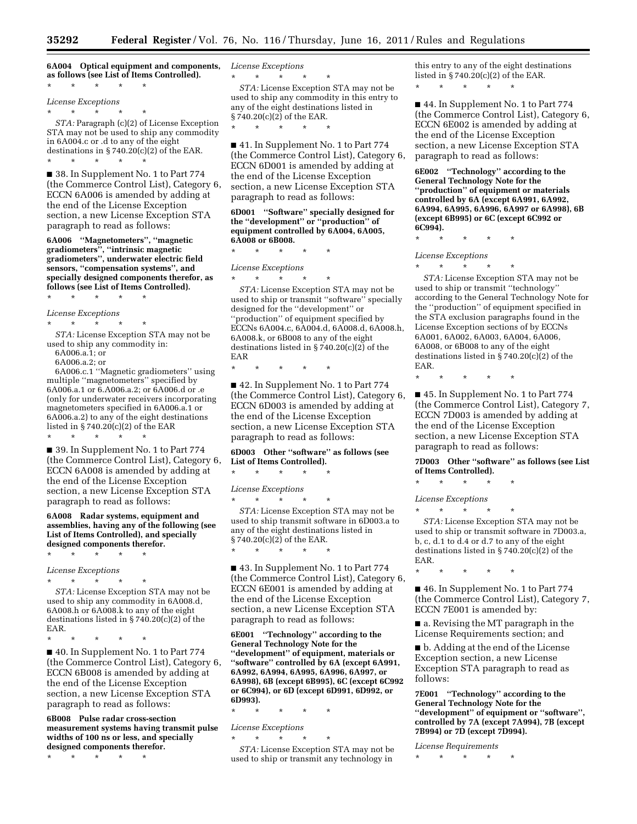**6A004 Optical equipment and components, as follows (see List of Items Controlled).** 

\* \* \* \* \*

*License Exceptions* 

\* \* \* \* \* *STA:* Paragraph (c)(2) of License Exception

STA may not be used to ship any commodity in 6A004.c or .d to any of the eight destinations in  $\S 740.20(c)(2)$  of the EAR. \* \* \* \* \*

■ 38. In Supplement No. 1 to Part 774 (the Commerce Control List), Category 6, ECCN 6A006 is amended by adding at the end of the License Exception section, a new License Exception STA paragraph to read as follows:

**6A006 ''Magnetometers'', ''magnetic gradiometers'', ''intrinsic magnetic gradiometers'', underwater electric field sensors, ''compensation systems'', and specially designed components therefor, as follows (see List of Items Controlled).** 

\* \* \* \* \*

*License Exceptions* 

\* \* \* \* \*

*STA:* License Exception STA may not be used to ship any commodity in: 6A006.a.1; or

6A006.a.2; or

6A006.c.1 ''Magnetic gradiometers'' using multiple ''magnetometers'' specified by 6A006.a.1 or 6.A006.a.2; or 6A006.d or .e (only for underwater receivers incorporating magnetometers specified in 6A006.a.1 or 6A006.a.2) to any of the eight destinations listed in § 740.20(c)(2) of the EAR

\* \* \* \* \*

■ 39. In Supplement No. 1 to Part 774 (the Commerce Control List), Category 6, ECCN 6A008 is amended by adding at the end of the License Exception section, a new License Exception STA paragraph to read as follows:

**6A008 Radar systems, equipment and assemblies, having any of the following (see List of Items Controlled), and specially designed components therefor.** 

\* \* \* \* \*

*License Exceptions* 

\* \* \* \* \* *STA:* License Exception STA may not be used to ship any commodity in 6A008.d, 6A008.h or 6A008.k to any of the eight destinations listed in § 740.20(c)(2) of the EAR.

\* \* \* \* \*

■ 40. In Supplement No. 1 to Part 774 (the Commerce Control List), Category 6, ECCN 6B008 is amended by adding at the end of the License Exception section, a new License Exception STA paragraph to read as follows:

**6B008 Pulse radar cross-section measurement systems having transmit pulse widths of 100 ns or less, and specially designed components therefor.** 

\* \* \* \* \*

*License Exceptions* 

\* \* \* \* \* *STA:* License Exception STA may not be used to ship any commodity in this entry to any of the eight destinations listed in § 740.20(c)(2) of the EAR.

\* \* \* \* \*

■ 41. In Supplement No. 1 to Part 774 (the Commerce Control List), Category 6, ECCN 6D001 is amended by adding at the end of the License Exception section, a new License Exception STA paragraph to read as follows:

### **6D001 ''Software'' specially designed for the ''development'' or ''production'' of equipment controlled by 6A004, 6A005, 6A008 or 6B008.**

\* \* \* \* \*

*License Exceptions* 

\* \* \* \* \* *STA:* License Exception STA may not be used to ship or transmit ''software'' specially designed for the ''development'' or ''production'' of equipment specified by ECCNs 6A004.c, 6A004.d, 6A008.d, 6A008.h, 6A008.k, or 6B008 to any of the eight destinations listed in § 740.20(c)(2) of the EAR

\* \* \* \* \*

■ 42. In Supplement No. 1 to Part 774 (the Commerce Control List), Category 6, ECCN 6D003 is amended by adding at the end of the License Exception section, a new License Exception STA paragraph to read as follows:

# **6D003 Other ''software'' as follows (see List of Items Controlled).**

\* \* \* \* \*

 $\star$   $\star$   $\star$ 

\* \* \* \* \*

*License Exceptions* 

*STA:* License Exception STA may not be used to ship transmit software in 6D003.a to any of the eight destinations listed in § 740.20(c)(2) of the EAR.

■ 43. In Supplement No. 1 to Part 774 (the Commerce Control List), Category 6, ECCN 6E001 is amended by adding at the end of the License Exception section, a new License Exception STA paragraph to read as follows:

**6E001 ''Technology'' according to the General Technology Note for the ''development'' of equipment, materials or ''software'' controlled by 6A (except 6A991, 6A992, 6A994, 6A995, 6A996, 6A997, or 6A998), 6B (except 6B995), 6C (except 6C992 or 6C994), or 6D (except 6D991, 6D992, or 6D993).** 

\* \* \* \* \*

*License Exceptions* 

\* \* \* \* \* *STA:* License Exception STA may not be used to ship or transmit any technology in

this entry to any of the eight destinations listed in § 740.20(c)(2) of the EAR.

\* \* \* \* \*

■ 44. In Supplement No. 1 to Part 774 (the Commerce Control List), Category 6, ECCN 6E002 is amended by adding at the end of the License Exception section, a new License Exception STA paragraph to read as follows:

**6E002 ''Technology'' according to the General Technology Note for the ''production'' of equipment or materials controlled by 6A (except 6A991, 6A992, 6A994, 6A995, 6A996, 6A997 or 6A998), 6B (except 6B995) or 6C (except 6C992 or 6C994).** 

\* \* \* \* \*

*License Exceptions* 

\* \* \* \* \*

*STA:* License Exception STA may not be used to ship or transmit ''technology'' according to the General Technology Note for the ''production'' of equipment specified in the STA exclusion paragraphs found in the License Exception sections of by ECCNs 6A001, 6A002, 6A003, 6A004, 6A006, 6A008, or 6B008 to any of the eight destinations listed in § 740.20(c)(2) of the EAR.

\* \* \* \* \*

■ 45. In Supplement No. 1 to Part 774 (the Commerce Control List), Category 7, ECCN 7D003 is amended by adding at the end of the License Exception section, a new License Exception STA paragraph to read as follows:

**7D003 Other ''software'' as follows (see List of Items Controlled).** 

\* \* \* \* \*

*License Exceptions* 

\* \* \* \* \* *STA:* License Exception STA may not be used to ship or transmit software in 7D003.a, b, c, d.1 to d.4 or d.7 to any of the eight destinations listed in § 740.20(c)(2) of the EAR.

\* \* \* \* \*

■ 46. In Supplement No. 1 to Part 774 (the Commerce Control List), Category 7, ECCN 7E001 is amended by:

■ a. Revising the MT paragraph in the License Requirements section; and

■ b. Adding at the end of the License Exception section, a new License Exception STA paragraph to read as follows:

**7E001 ''Technology'' according to the General Technology Note for the ''development'' of equipment or ''software'', controlled by 7A (except 7A994), 7B (except 7B994) or 7D (except 7D994).** 

*License Requirements* 

 $\star$   $\star$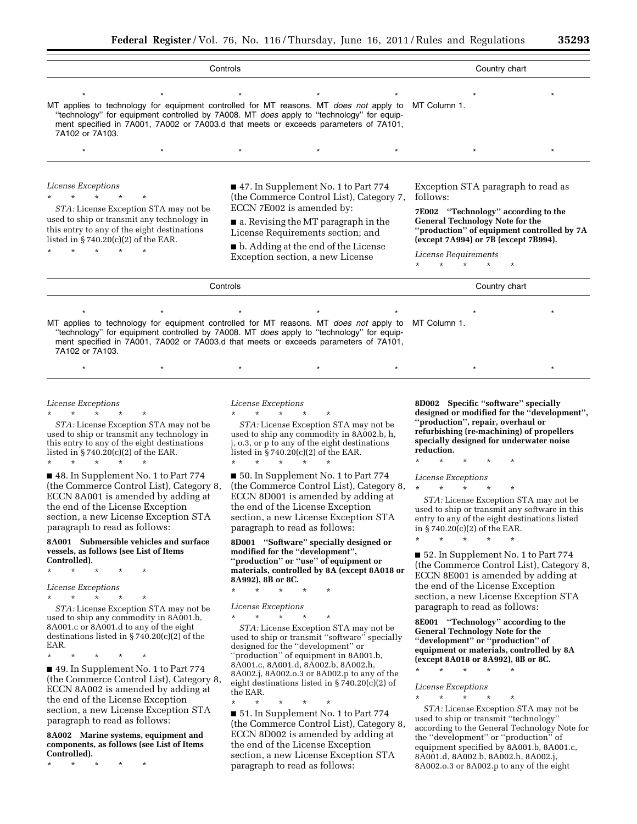| Controls                                                                                                                                                                                                                                                                                                                 |                                                                                                                                                                                                                                                                         |         |               | Country chart                                                                                                                                                                                                                                                       |  |  |
|--------------------------------------------------------------------------------------------------------------------------------------------------------------------------------------------------------------------------------------------------------------------------------------------------------------------------|-------------------------------------------------------------------------------------------------------------------------------------------------------------------------------------------------------------------------------------------------------------------------|---------|---------------|---------------------------------------------------------------------------------------------------------------------------------------------------------------------------------------------------------------------------------------------------------------------|--|--|
| MT applies to technology for equipment controlled for MT reasons. MT <i>does not</i> apply to MT Column 1.<br>"technology" for equipment controlled by 7A008. MT <i>does</i> apply to "technology" for equip-<br>ment specified in 7A001, 7A002 or 7A003.d that meets or exceeds parameters of 7A101,<br>7A102 or 7A103. |                                                                                                                                                                                                                                                                         |         |               |                                                                                                                                                                                                                                                                     |  |  |
|                                                                                                                                                                                                                                                                                                                          | $^\star$                                                                                                                                                                                                                                                                | $\star$ |               |                                                                                                                                                                                                                                                                     |  |  |
| License Exceptions<br>*<br>STA: License Exception STA may not be<br>used to ship or transmit any technology in<br>this entry to any of the eight destinations<br>listed in $\S 740.20(c)(2)$ of the EAR.                                                                                                                 | ■ 47. In Supplement No. 1 to Part 774<br>(the Commerce Control List), Category 7,<br>ECCN 7E002 is amended by:<br>a. Revising the MT paragraph in the<br>License Requirements section; and<br>• b. Adding at the end of the License<br>Exception section, a new License |         |               | Exception STA paragraph to read as<br>follows:<br>7E002 "Technology" according to the<br><b>General Technology Note for the</b><br>"production" of equipment controlled by 7A<br>(except 7A994) or 7B (except 7B994).<br>License Requirements<br>$\star$<br>$\star$ |  |  |
| Controls                                                                                                                                                                                                                                                                                                                 |                                                                                                                                                                                                                                                                         |         | Country chart |                                                                                                                                                                                                                                                                     |  |  |
| MT applies to technology for equipment controlled for MT reasons. MT does not apply to MT Column 1.                                                                                                                                                                                                                      |                                                                                                                                                                                                                                                                         |         |               |                                                                                                                                                                                                                                                                     |  |  |

''technology'' for equipment controlled by 7A008. MT *does* apply to ''technology'' for equipment specified in 7A001, 7A002 or 7A003.d that meets or exceeds parameters of 7A101, 7A102 or 7A103.

### *License Exceptions*

\* \* \* \* \* *STA:* License Exception STA may not be used to ship or transmit any technology in this entry to any of the eight destinations listed in § 740.20(c)(2) of the EAR.

\* \* \* \* \*

■ 48. In Supplement No. 1 to Part 774 (the Commerce Control List), Category 8, ECCN 8A001 is amended by adding at the end of the License Exception section, a new License Exception STA paragraph to read as follows:

### **8A001 Submersible vehicles and surface vessels, as follows (see List of Items Controlled).**

\* \* \* \* \*

*License Exceptions* 

\* \* \* \* \*

*STA:* License Exception STA may not be used to ship any commodity in 8A001.b, 8A001.c or 8A001.d to any of the eight destinations listed in § 740.20(c)(2) of the EAR.

\* \* \* \* \*

■ 49. In Supplement No. 1 to Part 774 (the Commerce Control List), Category 8, ECCN 8A002 is amended by adding at the end of the License Exception section, a new License Exception STA paragraph to read as follows:

**8A002 Marine systems, equipment and components, as follows (see List of Items Controlled).** 

\* \* \* \* \*

# *License Exceptions*  \* \* \* \* \*

*STA:* License Exception STA may not be used to ship any commodity in 8A002.b, h, j, o.3, or p to any of the eight destinations listed in  $\S 740.20(c)(2)$  of the EAR. \* \* \* \* \*

\* \* \* \* \* \* \* \* \* \* \* \* \* \* \*

■ 50. In Supplement No. 1 to Part 774 (the Commerce Control List), Category 8, ECCN 8D001 is amended by adding at the end of the License Exception section, a new License Exception STA paragraph to read as follows:

**8D001 ''Software'' specially designed or modified for the ''development'', ''production'' or ''use'' of equipment or materials, controlled by 8A (except 8A018 or 8A992), 8B or 8C.** 

\* \* \* \* \*

# *License Exceptions*

\* \* \* \* \*

*STA:* License Exception STA may not be used to ship or transmit ''software'' specially designed for the ''development'' or ''production'' of equipment in 8A001.b, 8A001.c, 8A001.d, 8A002.b, 8A002.h, 8A002.j, 8A002.o.3 or 8A002.p to any of the eight destinations listed in § 740.20(c)(2) of the EAR.

\* \* \* \* \* ■ 51. In Supplement No. 1 to Part 774 (the Commerce Control List), Category 8, ECCN 8D002 is amended by adding at the end of the License Exception section, a new License Exception STA paragraph to read as follows:

**8D002 Specific ''software'' specially designed or modified for the ''development'', ''production'', repair, overhaul or refurbishing (re-machining) of propellers specially designed for underwater noise reduction.** 

\* \* \* \* \*

*License Exceptions* 

\* \* \* \* \*

*STA:* License Exception STA may not be used to ship or transmit any software in this entry to any of the eight destinations listed in § 740.20(c)(2) of the EAR.

\* \* \* \* \*

■ 52. In Supplement No. 1 to Part 774 (the Commerce Control List), Category 8, ECCN 8E001 is amended by adding at the end of the License Exception section, a new License Exception STA paragraph to read as follows:

**8E001 ''Technology'' according to the General Technology Note for the ''development'' or ''production'' of equipment or materials, controlled by 8A (except 8A018 or 8A992), 8B or 8C.** 

*License Exceptions*   $\star$   $\star$ 

\* \* \* \* \*

*STA:* License Exception STA may not be used to ship or transmit ''technology'' according to the General Technology Note for the ''development'' or ''production'' of equipment specified by 8A001.b, 8A001.c, 8A001.d, 8A002.b, 8A002.h, 8A002.j, 8A002.o.3 or 8A002.p to any of the eight